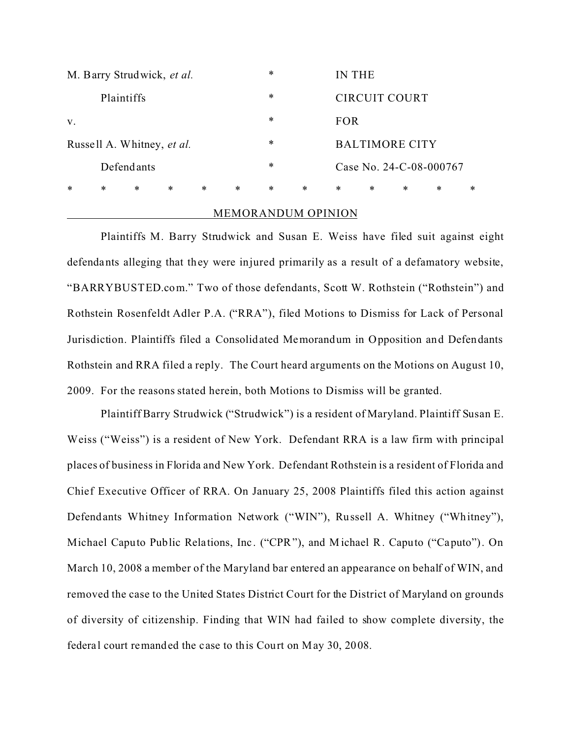| $\ast$                     | $\ast$     | $\ast$ | $\ast$ | $\ast$ | $\ast$ | $\ast$ | $\ast$ | $\ast$                  | $\ast$ | $\ast$ | $\ast$ | $\ast$ |
|----------------------------|------------|--------|--------|--------|--------|--------|--------|-------------------------|--------|--------|--------|--------|
|                            | Defendants |        |        |        |        |        |        | Case No. 24-C-08-000767 |        |        |        |        |
| Russell A. Whitney, et al. |            |        |        |        |        | $\ast$ |        | <b>BALTIMORE CITY</b>   |        |        |        |        |
| V.                         |            |        |        |        |        | $\ast$ |        | FOR                     |        |        |        |        |
| Plaintiffs                 |            |        |        |        |        | $\ast$ |        | CIRCUIT COURT           |        |        |        |        |
| M. Barry Strudwick, et al. |            |        |        |        |        | $\ast$ |        | IN THE                  |        |        |        |        |

# MEMORANDUM OPINION

Plaintiffs M. Barry Strudwick and Susan E. Weiss have filed suit against eight defendants alleging that they were injured primarily as a result of a defamatory website, "BARRYBUSTED.com." Two of those defendants, Scott W. Rothstein ("Rothstein") and Rothstein Rosenfeldt Adler P.A. ("RRA"), filed Motions to Dismiss for Lack of Personal Jurisdiction. Plaintiffs filed a Consolidated Memorandum in Opposition and Defendants Rothstein and RRA filed a reply. The Court heard arguments on the Motions on August 10, 2009. For the reasons stated herein, both Motions to Dismiss will be granted.

Plaintiff Barry Strudwick ("Strudwick") is a resident of Maryland. Plaintiff Susan E. Weiss ("Weiss") is a resident of New York. Defendant RRA is a law firm with principal places of business in Florida and New York. Defendant Rothstein is a resident of Florida and Chief Executive Officer of RRA. On January 25, 2008 Plaintiffs filed this action against Defendants Whitney Information Network ("WIN"), Russell A. Whitney ("Whitney"), Michael Caputo Public Relations, Inc . ("CPR"), and M ichael R. Caputo ("Caputo"). On March 10, 2008 a member of the Maryland bar entered an appearance on behalf of WIN, and removed the case to the United States District Court for the District of Maryland on grounds of diversity of citizenship. Finding that WIN had failed to show complete diversity, the federal court remanded the case to this Court on May 30, 2008.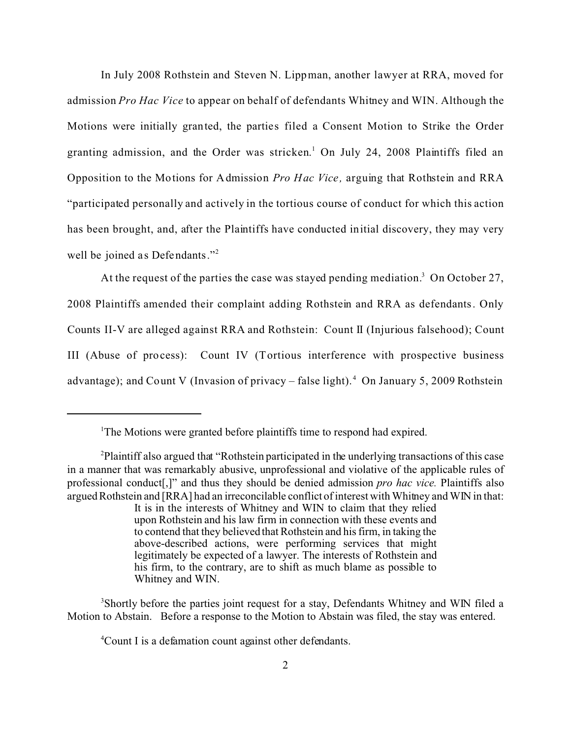In July 2008 Rothstein and Steven N. Lippman, another lawyer at RRA, moved for admission *Pro Hac Vice* to appear on behalf of defendants Whitney and WIN. Although the Motions were initially granted, the parties filed a Consent Motion to Strike the Order granting admission, and the Order was stricken. 1 On July 24, 2008 Plaintiffs filed an Opposition to the Motions for Admission *Pro Hac Vice ,* arguing that Rothstein and RRA "participated personally and actively in the tortious course of conduct for which this action has been brought, and, after the Plaintiffs have conducted initial discovery, they may very well be joined as Defendants." $\frac{1}{2}$ 

At the request of the parties the case was stayed pending mediation.<sup>3</sup> On October 27, 2008 Plaintiffs amended their complaint adding Rothstein and RRA as defendants. Only Counts II-V are alleged against RRA and Rothstein: Count II (Injurious falsehood); Count III (Abuse of process): Count IV (Tortious interference with prospective business advantage); and Count V (Invasion of privacy – false light).<sup>4</sup> On January 5, 2009 Rothstein

<sup>3</sup>Shortly before the parties joint request for a stay, Defendants Whitney and WIN filed a Motion to Abstain. Before a response to the Motion to Abstain was filed, the stay was entered.

<sup>4</sup>Count I is a defamation count against other defendants.

<sup>&</sup>lt;sup>1</sup>The Motions were granted before plaintiffs time to respond had expired.

<sup>2</sup>Plaintiff also argued that "Rothstein participated in the underlying transactions of this case in a manner that was remarkably abusive, unprofessional and violative of the applicable rules of professional conduct[,]" and thus they should be denied admission *pro hac vice.* Plaintiffs also argued Rothstein and [RRA] had an irreconcilable conflict of interest with Whitney and WIN in that: It is in the interests of Whitney and WIN to claim that they relied upon Rothstein and his law firm in connection with these events and to contend that they believed that Rothstein and his firm, in taking the above-described actions, were performing services that might legitimately be expected of a lawyer. The interests of Rothstein and his firm, to the contrary, are to shift as much blame as possible to Whitney and WIN.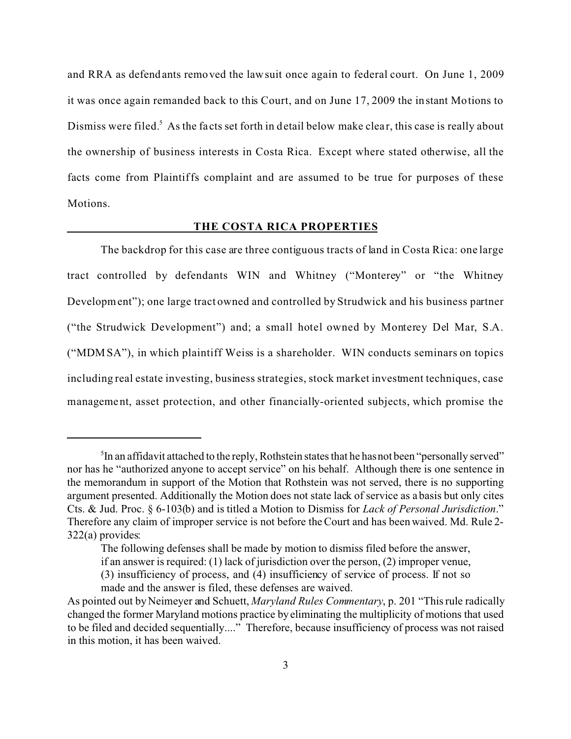and RRA as defendants removed the lawsuit once again to federal court. On June 1, 2009 it was once again remanded back to this Court, and on June 17, 2009 the instant Motions to Dismiss were filed.<sup>5</sup> As the facts set forth in detail below make clear, this case is really about the ownership of business interests in Costa Rica. Except where stated otherwise, all the facts come from Plaintiffs complaint and are assumed to be true for purposes of these Motions.

### **THE COSTA RICA PROPERTIES**

The backdrop for this case are three contiguous tracts of land in Costa Rica: one large tract controlled by defendants WIN and Whitney ("Monterey" or "the Whitney Development"); one large tract owned and controlled by Strudwick and his business partner ("the Strudwick Development") and; a small hotel owned by Monterey Del Mar, S.A. ("MDMSA"), in which plaintiff Weiss is a shareholder. WIN conducts seminars on topics including real estate investing, business strategies, stock market investment techniques, case management, asset protection, and other financially-oriented subjects, which promise the

 $5$ In an affidavit attached to the reply, Rothstein states that he has not been "personally served" nor has he "authorized anyone to accept service" on his behalf. Although there is one sentence in the memorandum in support of the Motion that Rothstein was not served, there is no supporting argument presented. Additionally the Motion does not state lack of service as a basis but only cites Cts. & Jud. Proc. § 6-103(b) and is titled a Motion to Dismiss for *Lack of Personal Jurisdiction*." Therefore any claim of improper service is not before the Court and has been waived. Md. Rule 2- 322(a) provides:

The following defenses shall be made by motion to dismiss filed before the answer,

if an answer is required: (1) lack of jurisdiction over the person, (2) improper venue,

<sup>(3)</sup> insufficiency of process, and (4) insufficiency of service of process. If not so made and the answer is filed, these defenses are waived.

As pointed out by Neimeyer and Schuett, *Maryland Rules Commentary*, p. 201 "This rule radically changed the former Maryland motions practice by eliminating the multiplicity of motions that used to be filed and decided sequentially...." Therefore, because insufficiency of process was not raised in this motion, it has been waived.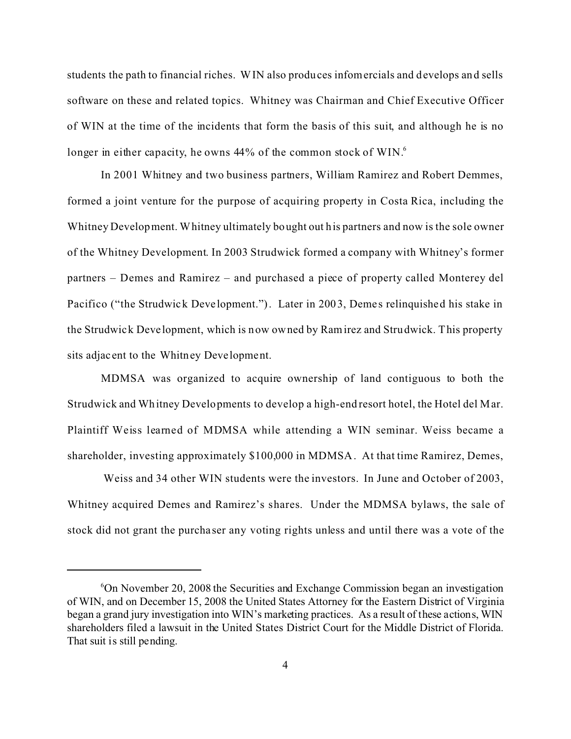students the path to financial riches. WIN also produces infomercials and develops and sells software on these and related topics. Whitney was Chairman and Chief Executive Officer of WIN at the time of the incidents that form the basis of this suit, and although he is no longer in either capacity, he owns  $44\%$  of the common stock of WIN.<sup>6</sup>

In 2001 Whitney and two business partners, William Ramirez and Robert Demmes, formed a joint venture for the purpose of acquiring property in Costa Rica, including the Whitney Development. Whitney ultimately bought out his partners and now is the sole owner of the Whitney Development. In 2003 Strudwick formed a company with Whitney's former partners – Demes and Ramirez – and purchased a piece of property called Monterey del Pacifico ("the Strudwick Development."). Later in 2003, Demes relinquished his stake in the Strudwick Development, which is now owned by Ramirez and Strudwick. This property sits adjac ent to the Whitney Deve lopment.

MDMSA was organized to acquire ownership of land contiguous to both the Strudwick and Whitney Developments to develop a high-end resort hotel, the Hotel del Mar. Plaintiff Weiss learned of MDMSA while attending a WIN seminar. Weiss became a shareholder, investing approximately \$100,000 in MDMSA. At that time Ramirez, Demes,

 Weiss and 34 other WIN students were the investors. In June and October of 2003, Whitney acquired Demes and Ramirez's shares. Under the MDMSA bylaws, the sale of stock did not grant the purcha ser any voting rights unless and until there was a vote of the

<sup>6</sup>On November 20, 2008 the Securities and Exchange Commission began an investigation of WIN, and on December 15, 2008 the United States Attorney for the Eastern District of Virginia began a grand jury investigation into WIN's marketing practices. As a result of these actions, WIN shareholders filed a lawsuit in the United States District Court for the Middle District of Florida. That suit is still pending.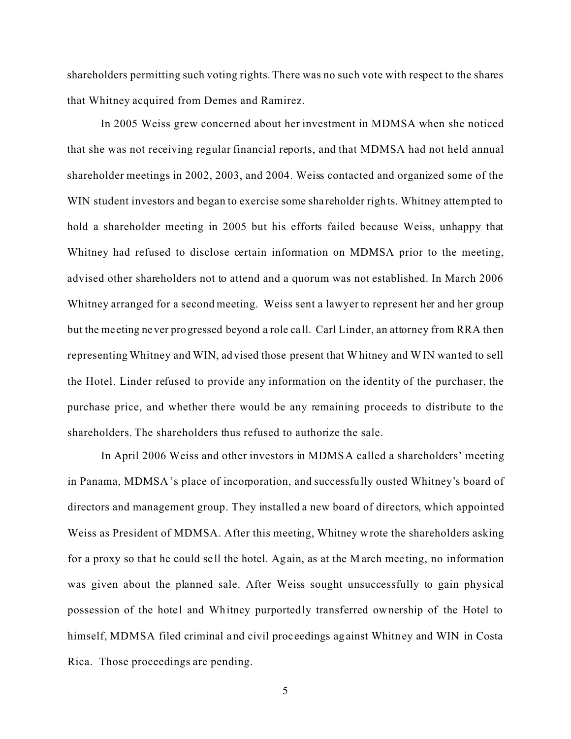shareholders permitting such voting rights. There was no such vote with respect to the shares that Whitney acquired from Demes and Ramirez.

In 2005 Weiss grew concerned about her investment in MDMSA when she noticed that she was not receiving regular financial reports, and that MDMSA had not held annual shareholder meetings in 2002, 2003, and 2004. Weiss contacted and organized some of the WIN student investors and began to exercise some shareholder rights. Whitney attempted to hold a shareholder meeting in 2005 but his efforts failed because Weiss, unhappy that Whitney had refused to disclose certain information on MDMSA prior to the meeting, advised other shareholders not to attend and a quorum was not established. In March 2006 Whitney arranged for a second meeting. Weiss sent a lawyer to represent her and her group but the meeting never progressed beyond a role ca ll. Carl Linder, an attorney from RRA then representing Whitney and WIN, advised those present that Whitney and WIN wanted to sell the Hotel. Linder refused to provide any information on the identity of the purchaser, the purchase price, and whether there would be any remaining proceeds to distribute to the shareholders. The shareholders thus refused to authorize the sale.

In April 2006 Weiss and other investors in MDMSA called a shareholders' meeting in Panama, MDMSA's place of incorporation, and successfully ousted Whitney's board of directors and management group. They installed a new board of directors, which appointed Weiss as President of MDMSA. After this meeting, Whitney wrote the shareholders asking for a proxy so that he could sell the hotel. Again, as at the March meeting, no information was given about the planned sale. After Weiss sought unsuccessfully to gain physical possession of the hotel and Whitney purportedly transferred ownership of the Hotel to himself, MDMSA filed criminal and civil proc eedings against Whitney and WIN in Costa Rica. Those proceedings are pending.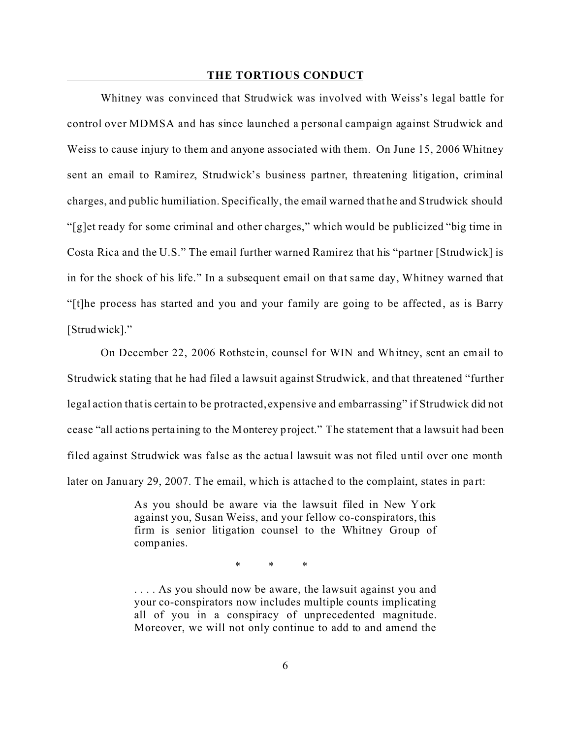### **THE TORTIOUS CONDUCT**

Whitney was convinced that Strudwick was involved with Weiss's legal battle for control over MDMSA and has since launched a personal campaign against Strudwick and Weiss to cause injury to them and anyone associated with them. On June 15, 2006 Whitney sent an email to Ramirez, Strudwick's business partner, threatening litigation, criminal charges, and public humiliation. Specifically, the email warned that he and Strudwick should "[g]et ready for some criminal and other charges," which would be publicized "big time in Costa Rica and the U.S." The email further warned Ramirez that his "partner [Strudwick] is in for the shock of his life." In a subsequent email on that same day, Whitney warned that "[t]he process has started and you and your family are going to be affected, as is Barry [Strudwick]."

On December 22, 2006 Rothstein, counsel for WIN and Whitney, sent an email to Strudwick stating that he had filed a lawsuit against Strudwick, and that threatened "further legal action that is certain to be protracted, expensive and embarrassing" if Strudwick did not cease "all actions perta ining to the Monterey project." The statement that a lawsuit had been filed against Strudwick was false as the actual lawsuit was not filed until over one month later on January 29, 2007. The email, which is attached to the complaint, states in part:

> As you should be aware via the lawsuit filed in New York against you, Susan Weiss, and your fellow co-conspirators, this firm is senior litigation counsel to the Whitney Group of companies.

> > \* \* \*

. . . . As you should now be aware, the lawsuit against you and your co-conspirators now includes multiple counts implicating all of you in a conspiracy of unprecedented magnitude. Moreover, we will not only continue to add to and amend the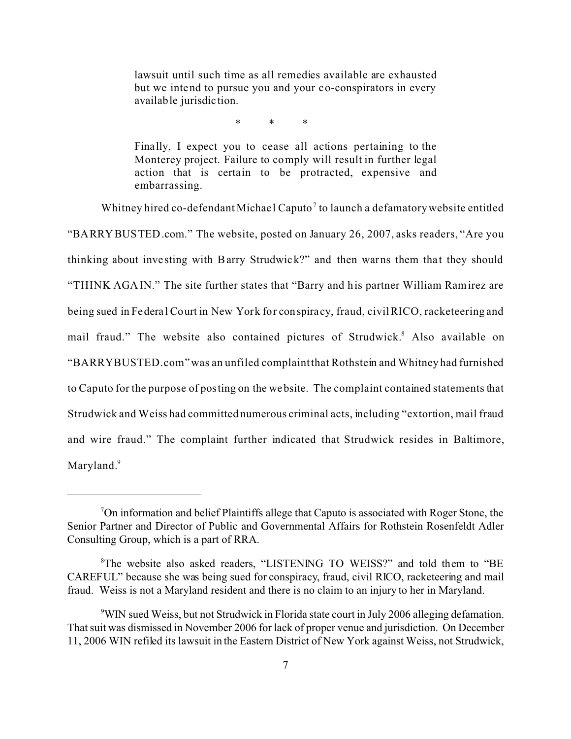lawsuit until such time as all remedies available are exhausted but we intend to pursue you and your co-conspirators in every available jurisdic tion.

\* \* \*

Finally, I expect you to cease all actions pertaining to the Monterey project. Failure to comply will result in further legal action that is certain to be protracted, expensive and embarrassing.

Whitney hired co-defendant Michael Caputo<sup>7</sup> to launch a defamatory website entitled

"BARRYBUSTED.com." The website, posted on January 26, 2007, asks readers, "Are you thinking about investing with Barry Strudwick?" and then warns them that they should "THINK AGAIN." The site further states that "Barry and his partner William Ramirez are being sued in Federal Court in New York for conspira cy, fraud, civil RICO, racketeering and mail fraud." The website also contained pictures of Strudwick.<sup>8</sup> Also available on "BARRYBUSTED.com" was an unfiled complaint that Rothstein and Whitney had furnished to Caputo for the purpose of posting on the website. The complaint contained statements that Strudwick and Weiss had committed numerous criminal acts, including "extortion, mail fraud and wire fraud." The complaint further indicated that Strudwick resides in Baltimore, Maryland.<sup>9</sup>

<sup>7</sup>On information and belief Plaintiffs allege that Caputo is associated with Roger Stone, the Senior Partner and Director of Public and Governmental Affairs for Rothstein Rosenfeldt Adler Consulting Group, which is a part of RRA.

<sup>8</sup>The website also asked readers, "LISTENING TO WEISS?" and told them to "BE CAREFUL" because she was being sued for conspiracy, fraud, civil RICO, racketeering and mail fraud. Weiss is not a Maryland resident and there is no claim to an injury to her in Maryland.

<sup>&</sup>lt;sup>9</sup>WIN sued Weiss, but not Strudwick in Florida state court in July 2006 alleging defamation. That suit was dismissed in November 2006 for lack of proper venue and jurisdiction. On December 11, 2006 WIN refiled its lawsuit in the Eastern District of New York against Weiss, not Strudwick,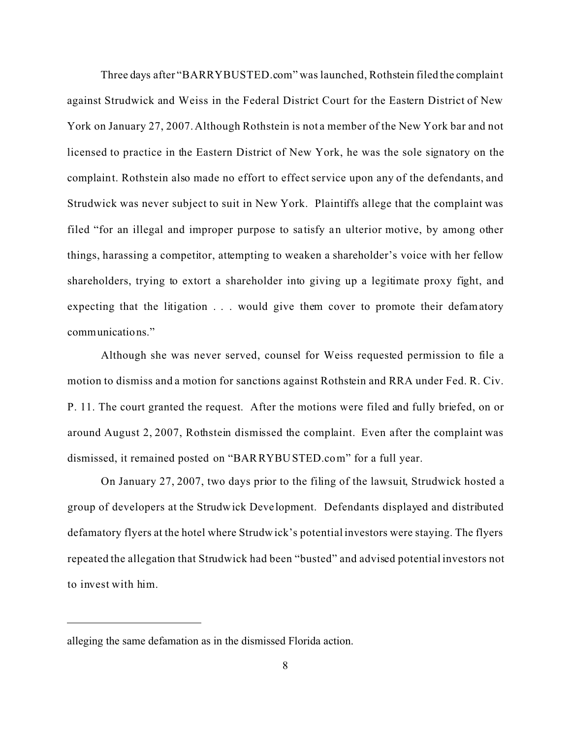Three days after "BARRYBUSTED.com" was launched, Rothstein filed the complaint against Strudwick and Weiss in the Federal District Court for the Eastern District of New York on January 27, 2007. Although Rothstein is not a member of the New York bar and not licensed to practice in the Eastern District of New York, he was the sole signatory on the complaint. Rothstein also made no effort to effect service upon any of the defendants, and Strudwick was never subject to suit in New York. Plaintiffs allege that the complaint was filed "for an illegal and improper purpose to satisfy an ulterior motive, by among other things, harassing a competitor, attempting to weaken a shareholder's voice with her fellow shareholders, trying to extort a shareholder into giving up a legitimate proxy fight, and expecting that the litigation . . . would give them cover to promote their defamatory communications."

Although she was never served, counsel for Weiss requested permission to file a motion to dismiss and a motion for sanctions against Rothstein and RRA under Fed. R. Civ. P. 11. The court granted the request. After the motions were filed and fully briefed, on or around August 2, 2007, Rothstein dismissed the complaint. Even after the complaint was dismissed, it remained posted on "BARRYBUSTED.com" for a full year.

On January 27, 2007, two days prior to the filing of the lawsuit, Strudwick hosted a group of developers at the Strudwick Deve lopment. Defendants displayed and distributed defamatory flyers at the hotel where Strudwick's potential investors were staying. The flyers repeated the allegation that Strudwick had been "busted" and advised potential investors not to invest with him.

alleging the same defamation as in the dismissed Florida action.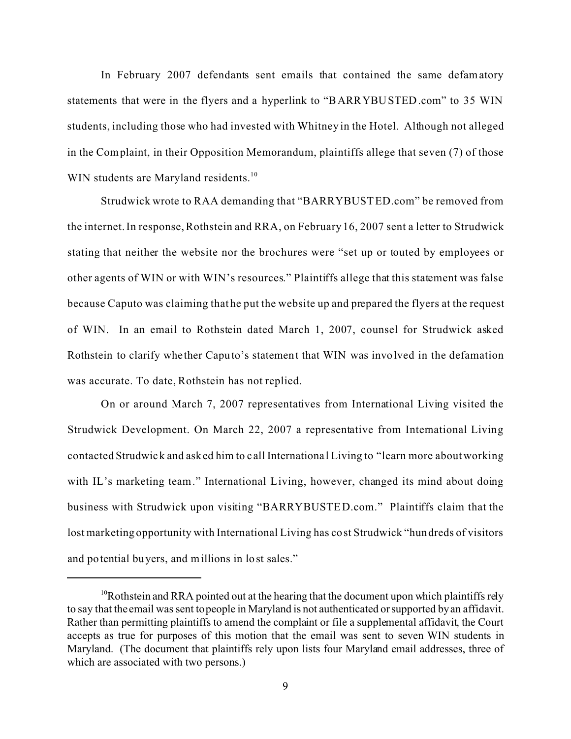In February 2007 defendants sent emails that contained the same defamatory statements that were in the flyers and a hyperlink to "BARRYBUSTED.com" to 35 WIN students, including those who had invested with Whitney in the Hotel. Although not alleged in the Complaint, in their Opposition Memorandum, plaintiffs allege that seven (7) of those WIN students are Maryland residents.<sup>10</sup>

Strudwick wrote to RAA demanding that "BARRYBUSTED.com" be removed from the internet. In response, Rothstein and RRA, on February 16, 2007 sent a letter to Strudwick stating that neither the website nor the brochures were "set up or touted by employees or other agents of WIN or with WIN's resources." Plaintiffs allege that this statement was false because Caputo was claiming that he put the website up and prepared the flyers at the request of WIN. In an email to Rothstein dated March 1, 2007, counsel for Strudwick asked Rothstein to clarify whe ther Caputo's statement that WIN was involved in the defamation was accurate. To date, Rothstein has not replied.

On or around March 7, 2007 representatives from International Living visited the Strudwick Development. On March 22, 2007 a representative from International Living contacted Strudwick and asked him to c all Internationa l Living to "learn more about working with IL's marketing team." International Living, however, changed its mind about doing business with Strudwick upon visiting "BARRYBUSTED.com." Plaintiffs claim that the lost marketing opportunity with International Living has cost Strudwick "hundreds of visitors and potential buyers, and millions in lost sales."

 $10R$ othstein and RRA pointed out at the hearing that the document upon which plaintiffs rely to say that the email was sent to people in Maryland is not authenticated or supported by an affidavit. Rather than permitting plaintiffs to amend the complaint or file a supplemental affidavit, the Court accepts as true for purposes of this motion that the email was sent to seven WIN students in Maryland. (The document that plaintiffs rely upon lists four Maryland email addresses, three of which are associated with two persons.)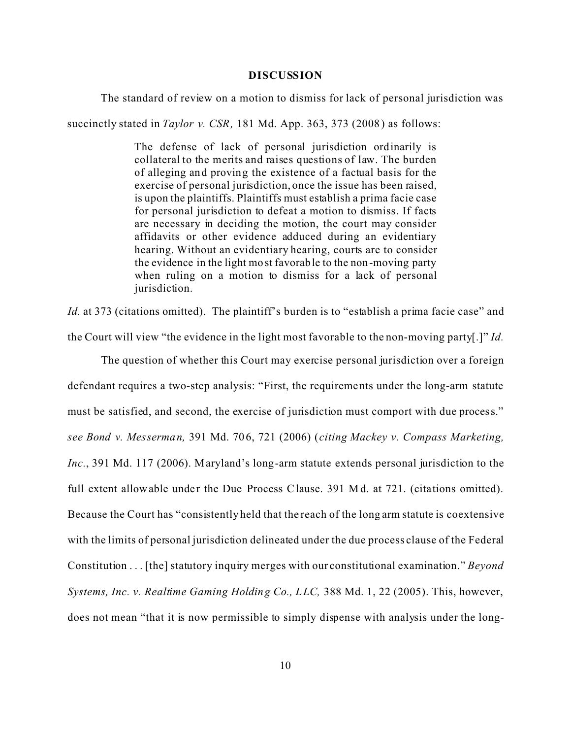### **DISCUSSION**

The standard of review on a motion to dismiss for lack of personal jurisdiction was

succinctly stated in *Taylor v. CSR,* 181 Md. App. 363, 373 (2008) as follows:

The defense of lack of personal jurisdiction ordinarily is collateral to the merits and raises questions of law. The burden of alleging and proving the existence of a factual basis for the exercise of personal jurisdiction, once the issue has been raised, is upon the plaintiffs. Plaintiffs must establish a prima facie case for personal jurisdiction to defeat a motion to dismiss. If facts are necessary in deciding the motion, the court may consider affidavits or other evidence adduced during an evidentiary hearing. Without an evidentiary hearing, courts are to consider the evidence in the light most favorable to the non-moving party when ruling on a motion to dismiss for a lack of personal jurisdiction.

*Id.* at 373 (citations omitted). The plaintiff's burden is to "establish a prima facie case" and the Court will view "the evidence in the light most favorable to the non-moving party[.]" *Id.*

The question of whether this Court may exercise personal jurisdiction over a foreign defendant requires a two-step analysis: "First, the requirements under the long-arm statute must be satisfied, and second, the exercise of jurisdiction must comport with due process." *see Bond v. Messerman,* 391 Md. 706, 721 (2006) (*citing Mackey v. Compass Marketing, Inc.*, 391 Md. 117 (2006). Maryland's long-arm statute extends personal jurisdiction to the full extent allowable under the Due Process Clause. 391 Md. at 721. (citations omitted). Because the Court has "consistently held that the reach of the long arm statute is coextensive with the limits of personal jurisdiction delineated under the due process clause of the Federal Constitution . . . [the] statutory inquiry merges with our constitutional examination." *Beyond Systems, Inc. v. Realtime Gaming Holding Co., LLC,* 388 Md. 1, 22 (2005). This, however, does not mean "that it is now permissible to simply dispense with analysis under the long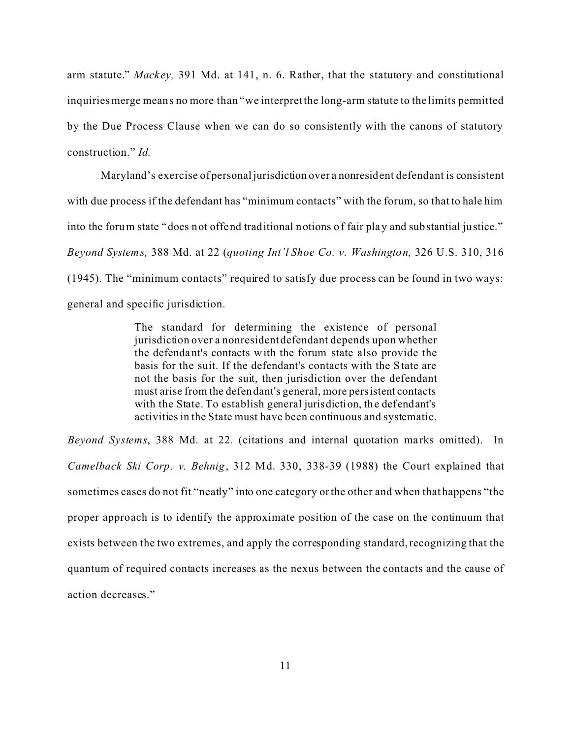arm statute." *Mackey*, 391 Md. at 141, n. 6. Rather, that the statutory and constitutional inquiries merge means no more than "we interpret the long-arm statute to the limits permitted by the Due Process Clause when we can do so consistently with the canons of statutory construction." *Id.* 

Maryland's exercise of personal jurisdiction over a nonresident defendant is consistent with due process if the defendant has "minimum contacts" with the forum, so that to hale him into the forum state "does not offend traditional notions of fair play and substantial justice." *Beyond Systems,* 388 Md. at 22 (*quoting Int'l Shoe Co. v. Washington,* 326 U.S. 310, 316 (1945). The "minimum contacts" required to satisfy due process can be found in two ways: general and specific jurisdiction.

> The standard for determining the existence of personal jurisdiction over a nonresident defendant depends upon whether the defendant's contacts with the forum state also provide the basis for the suit. If the defendant's contacts with the State are not the basis for the suit, then jurisdiction over the defendant must arise from the defendant's general, more persistent contacts with the State. To establish general jurisdiction, the defendant's activities in the State must have been continuous and systematic.

*Beyond Systems*, 388 Md. at 22. (citations and internal quotation marks omitted). In *Camelback Ski Corp. v. Behnig*, 312 Md. 330, 338-39 (1988) the Court explained that sometimes cases do not fit "neatly" into one category or the other and when that happens "the proper approach is to identify the approximate position of the case on the continuum that exists between the two extremes, and apply the corresponding standard, recognizing that the quantum of required contacts increases as the nexus between the contacts and the cause of action decreases."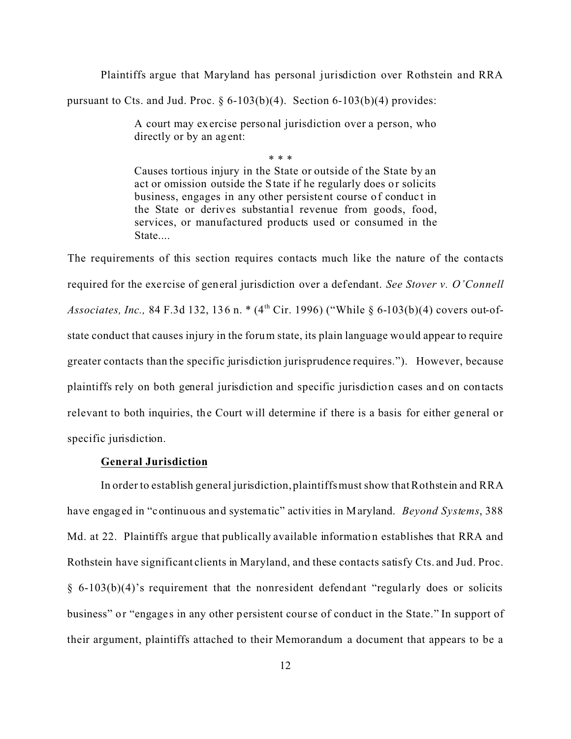Plaintiffs argue that Maryland has personal jurisdiction over Rothstein and RRA

pursuant to Cts. and Jud. Proc.  $\S 6-103(b)(4)$ . Section 6-103(b)(4) provides:

A court may exercise personal jurisdiction over a person, who directly or by an agent:

\* \* \*

Causes tortious injury in the State or outside of the State by an act or omission outside the State if he regularly does or solicits business, engages in any other persistent course of conduct in the State or derives substantial revenue from goods, food, services, or manufactured products used or consumed in the State....

The requirements of this section requires contacts much like the nature of the contacts required for the exe rcise of general jurisdiction over a def endant. *See Stover v. O'Connell Associates, Inc., 84 F.3d 132, 136 n.* \* (4<sup>th</sup> Cir. 1996) ("While § 6-103(b)(4) covers out-ofstate conduct that causes injury in the forum state, its plain language would appear to require greater contacts than the specific jurisdiction jurisprudence requires."). However, because plaintiffs rely on both general jurisdiction and specific jurisdiction cases and on contacts relevant to both inquiries, the Court will determine if there is a basis for either general or specific jurisdiction.

# **General Jurisdiction**

In order to establish general jurisdiction, plaintiffs must show that Rothstein and RRA have engaged in "continuous and systema tic" activities in Maryland. *Beyond Systems*, 388 Md. at 22. Plaintiffs argue that publically available informatio n establishes that RRA and Rothstein have significant clients in Maryland, and these contacts satisfy Cts. and Jud. Proc. § 6-103(b)(4)'s requirement that the nonresident defendant "regularly does or solicits business" or "engages in any other persistent course of conduct in the State." In support of their argument, plaintiffs attached to their Memorandum a document that appears to be a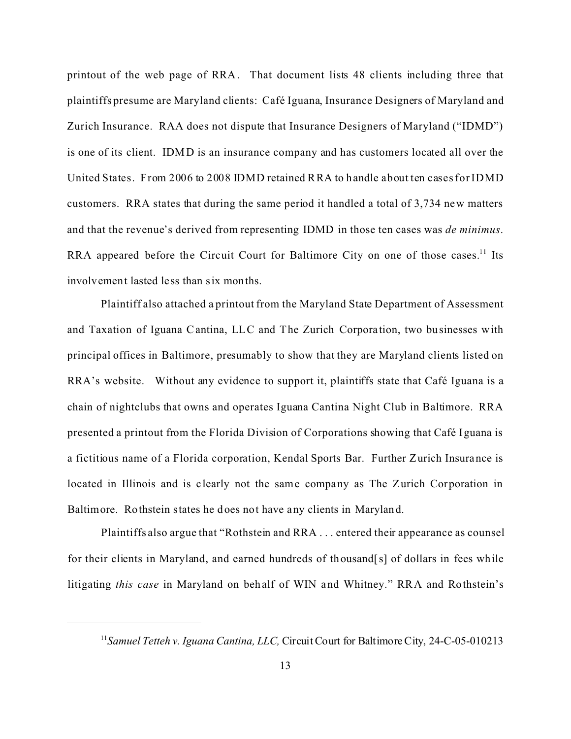printout of the web page of RRA. That document lists 48 clients including three that plaintiffs presume are Maryland clients: Café Iguana, Insurance Designers of Maryland and Zurich Insurance. RAA does not dispute that Insurance Designers of Maryland ("IDMD") is one of its client. IDMD is an insurance company and has customers located all over the United States. From 2006 to 2008 IDMD retained RRA to handle about ten cases for IDMD customers. RRA states that during the same period it handled a total of 3,734 new matters and that the revenue's derived from representing IDMD in those ten cases was *de minimus*. RRA appeared before the Circuit Court for Baltimore City on one of those cases.<sup>11</sup> Its involvement lasted less than six months.

Plaintiff also attached a printout from the Maryland State Department of Assessment and Taxation of Iguana Cantina, LLC and The Zurich Corpora tion, two businesses with principal offices in Baltimore, presumably to show that they are Maryland clients listed on RRA's website. Without any evidence to support it, plaintiffs state that Café Iguana is a chain of nightclubs that owns and operates Iguana Cantina Night Club in Baltimore. RRA presented a printout from the Florida Division of Corporations showing that Café Iguana is a fictitious name of a Florida corporation, Kendal Sports Bar. Further Zurich Insurance is located in Illinois and is clearly not the same company as The Zurich Corporation in Baltimore. Rothstein states he does not have any clients in Maryland.

Plaintiffs also argue that "Rothstein and RRA . . . entered their appearance as counsel for their clients in Maryland, and earned hundreds of thousand[s] of dollars in fees while litigating *this case* in Maryland on behalf of WIN and Whitney." RRA and Rothstein's

<sup>&</sup>lt;sup>11</sup> Samuel Tetteh v. Iguana Cantina, LLC, Circuit Court for Baltimore City, 24-C-05-010213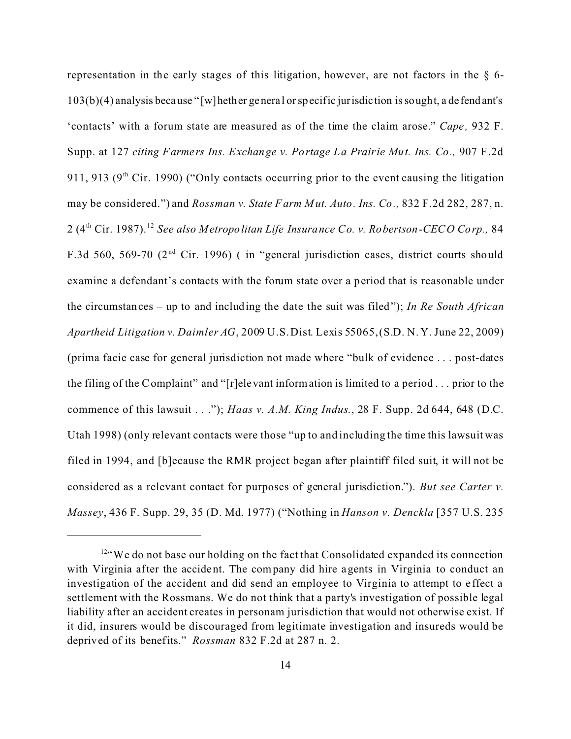representation in the early stages of this litigation, however, are not factors in the § 6- 103(b)(4) analysis because " [w]hether general or specific jurisdic tion is sought, a de fendant's 'contacts' with a forum state are measured as of the time the claim arose." *Cape,* 932 F. Supp. at 127 *citing Farmers Ins. Exchange v. Portage La Prairie Mut. Ins. Co.,* 907 F.2d 911, 913 ( $9<sup>th</sup>$  Cir. 1990) ("Only contacts occurring prior to the event causing the litigation may be considered.") and *Rossman v. State Farm Mut. Auto. Ins. Co.,* 832 F.2d 282, 287, n. 2 (4th Cir. 1987).<sup>12</sup> *See also Metropolitan Life Insurance Co. v. Robertson-CECO Corp.,* 84 F.3d 560, 569-70 ( $2<sup>nd</sup>$  Cir. 1996) (in "general jurisdiction cases, district courts should examine a defendant's contacts with the forum state over a period that is reasonable under the circumstances – up to and including the date the suit was filed"); *In Re South African Apartheid Litigation v. Daimler AG*, 2009 U.S. Dist. Lexis 55065, (S.D. N. Y. June 22, 2009) (prima facie case for general jurisdiction not made where "bulk of evidence . . . post-dates the filing of the Complaint" and "[r]elevant information is limited to a period . . . prior to the commence of this lawsuit . . ."); *Haas v. A.M. King Indus*., 28 F. Supp. 2d 644, 648 (D.C. Utah 1998) (only relevant contacts were those "up to and including the time this lawsuit was filed in 1994, and [b]ecause the RMR project began after plaintiff filed suit, it will not be considered as a relevant contact for purposes of general jurisdiction."). *But see Carter v. Massey*, 436 F. Supp. 29, 35 (D. Md. 1977) ("Nothing in *Hanson v. Denckla* [357 U.S. 235

<sup>&</sup>lt;sup>12"</sup>We do not base our holding on the fact that Consolidated expanded its connection with Virginia after the accident. The company did hire agents in Virginia to conduct an investigation of the accident and did send an employee to Virginia to attempt to e ffect a settlement with the Rossmans. We do not think that a party's investigation of possible legal liability after an accident creates in personam jurisdiction that would not otherwise exist. If it did, insurers would be discouraged from legitimate investigation and insureds would be deprived of its benefits." *Rossman* 832 F.2d at 287 n. 2.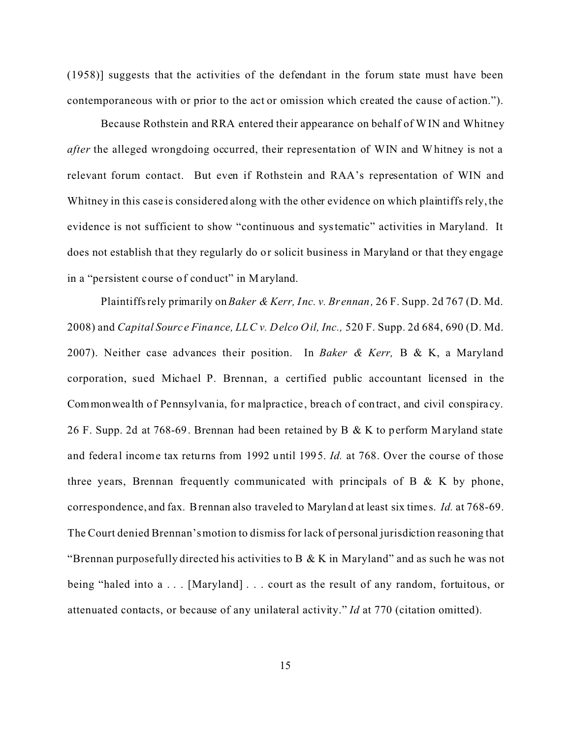(1958)] suggests that the activities of the defendant in the forum state must have been contemporaneous with or prior to the act or omission which created the cause of action.").

Because Rothstein and RRA entered their appearance on behalf of WIN and Whitney *after* the alleged wrongdoing occurred, their representation of WIN and Whitney is not a relevant forum contact. But even if Rothstein and RAA's representation of WIN and Whitney in this case is considered along with the other evidence on which plaintiffs rely, the evidence is not sufficient to show "continuous and systematic" activities in Maryland. It does not establish that they regularly do or solicit business in Maryland or that they engage in a "persistent course of conduct" in Maryland.

Plaintiffs rely primarily on *Baker & Kerr, Inc. v. Br ennan,* 26 F. Supp. 2d 767 (D. Md. 2008) and *Capital Source Finance, LLC v. Delco Oil, Inc.,* 520 F. Supp. 2d 684, 690 (D. Md. 2007). Neither case advances their position. In *Baker & Kerr,* B & K, a Maryland corporation, sued Michael P. Brennan, a certified public accountant licensed in the Commonwealth of Pennsylvania, for malpractice , brea ch of contract, and civil conspira cy. 26 F. Supp. 2d at 768-69. Brennan had been retained by B & K to perform Maryland state and federal income tax returns from 1992 until 1995. *Id.* at 768. Over the course of those three years, Brennan frequently communicated with principals of B  $& K$  by phone, correspondence, and fax. Brennan also traveled to Maryland at least six times. *Id.* at 768-69. The Court denied Brennan's motion to dismiss for lack of personal jurisdiction reasoning that "Brennan purposefully directed his activities to  $B \& K$  in Maryland" and as such he was not being "haled into a . . . [Maryland] . . . court as the result of any random, fortuitous, or attenuated contacts, or because of any unilateral activity." *Id* at 770 (citation omitted).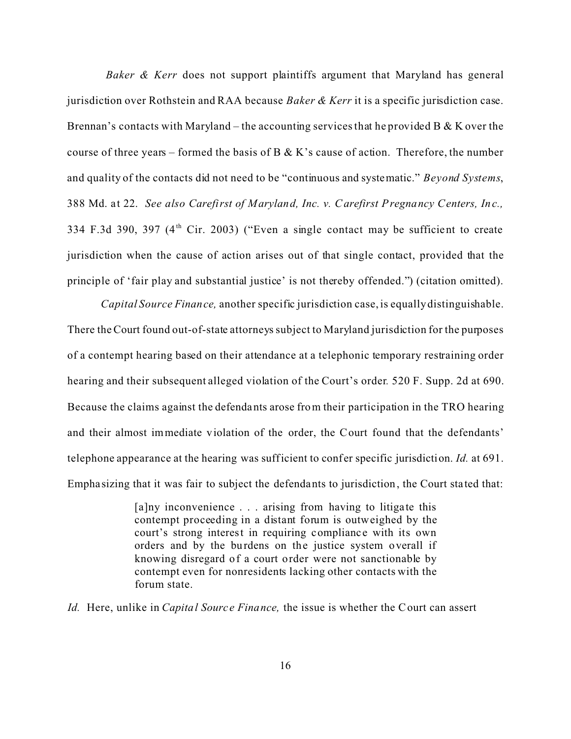*Baker & Kerr* does not support plaintiffs argument that Maryland has general jurisdiction over Rothstein and RAA because *Baker & Kerr* it is a specific jurisdiction case. Brennan's contacts with Maryland – the accounting services that he provided B & K over the course of three years – formed the basis of B & K's cause of action. Therefore, the number and quality of the contacts did not need to be "continuous and systematic." *Beyond Systems*, 388 Md. at 22. *See also Carefirst of Maryland, Inc. v. Carefirst Pregnancy Centers, Inc.,* 334 F.3d 390, 397  $(4<sup>th</sup>$  Cir. 2003) ("Even a single contact may be sufficient to create jurisdiction when the cause of action arises out of that single contact, provided that the principle of 'fair play and substantial justice' is not thereby offended.") (citation omitted).

*Capital Source Finance,* another specific jurisdiction case, is equally distinguishable. There the Court found out-of-state attorneys subject to Maryland jurisdiction for the purposes of a contempt hearing based on their attendance at a telephonic temporary restraining order hearing and their subsequent alleged violation of the Court's order*.* 520 F. Supp. 2d at 690. Because the claims against the defendants arose from their participation in the TRO hearing and their almost immediate violation of the order, the Court found that the defendants' telephone appearance at the hearing was sufficient to conf er specific jurisdiction. *Id.* at 691. Empha sizing that it was fair to subject the defendants to jurisdiction, the Court sta ted that:

> $[a]$ ny inconvenience . . . arising from having to litigate this contempt proceeding in a distant forum is outweighed by the court's strong interest in requiring compliance with its own orders and by the burdens on the justice system overall if knowing disregard of a court order were not sanctionable by contempt even for nonresidents lacking other contacts with the forum state.

*Id.* Here, unlike in *Capital Source Finance,* the issue is whether the Court can assert

16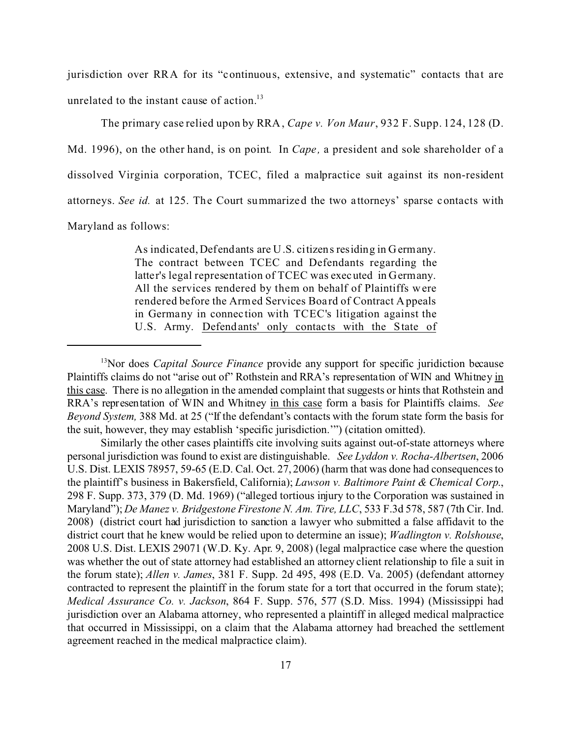jurisdiction over RRA for its "continuous, extensive, and systematic" contacts that are unrelated to the instant cause of action.<sup>13</sup>

The primary case relied upon by RRA, *Cape v. Von Maur*, 932 F. Supp. 124, 128 (D. Md. 1996), on the other hand, is on point. In *Cape,* a president and sole shareholder of a dissolved Virginia corporation, TCEC, filed a malpractice suit against its non-resident attorneys. *See id.* at 125. The Court summarized the two a ttorneys' sparse contacts with Maryland as follows:

> As indicated, Defendants are U.S. citizens residing in Germany. The contract between TCEC and Defendants regarding the latter's legal representation of TCEC was executed in Germany. All the services rendered by them on behalf of Plaintiffs were rendered before the Armed Services Boa rd of Contract Appeals in Germany in connec tion with TCEC's litigation against the U.S. Army. Defendants' only contacts with the State of

<sup>&</sup>lt;sup>13</sup>Nor does *Capital Source Finance* provide any support for specific juridiction because Plaintiffs claims do not "arise out of" Rothstein and RRA's representation of WIN and Whitney in this case. There is no allegation in the amended complaint that suggests or hints that Rothstein and RRA's representation of WIN and Whitney in this case form a basis for Plaintiffs claims. *See Beyond System,* 388 Md. at 25 ("If the defendant's contacts with the forum state form the basis for the suit, however, they may establish 'specific jurisdiction.'") (citation omitted).

Similarly the other cases plaintiffs cite involving suits against out-of-state attorneys where personal jurisdiction was found to exist are distinguishable. *See Lyddon v. Rocha-Albertsen*, 2006 U.S. Dist. LEXIS 78957, 59-65 (E.D. Cal. Oct. 27, 2006) (harm that was done had consequences to the plaintiff's business in Bakersfield, California); *Lawson v. Baltimore Paint & Chemical Corp*., 298 F. Supp. 373, 379 (D. Md. 1969) ("alleged tortious injury to the Corporation was sustained in Maryland"); *De Manez v. Bridgestone Firestone N. Am. Tire, LLC*, 533 F.3d 578, 587 (7th Cir. Ind. 2008) (district court had jurisdiction to sanction a lawyer who submitted a false affidavit to the district court that he knew would be relied upon to determine an issue); *Wadlington v. Rolshouse*, 2008 U.S. Dist. LEXIS 29071 (W.D. Ky. Apr. 9, 2008) (legal malpractice case where the question was whether the out of state attorney had established an attorney client relationship to file a suit in the forum state); *Allen v. James*, 381 F. Supp. 2d 495, 498 (E.D. Va. 2005) (defendant attorney contracted to represent the plaintiff in the forum state for a tort that occurred in the forum state); *Medical Assurance Co. v. Jackson*, 864 F. Supp. 576, 577 (S.D. Miss. 1994) (Mississippi had jurisdiction over an Alabama attorney, who represented a plaintiff in alleged medical malpractice that occurred in Mississippi, on a claim that the Alabama attorney had breached the settlement agreement reached in the medical malpractice claim).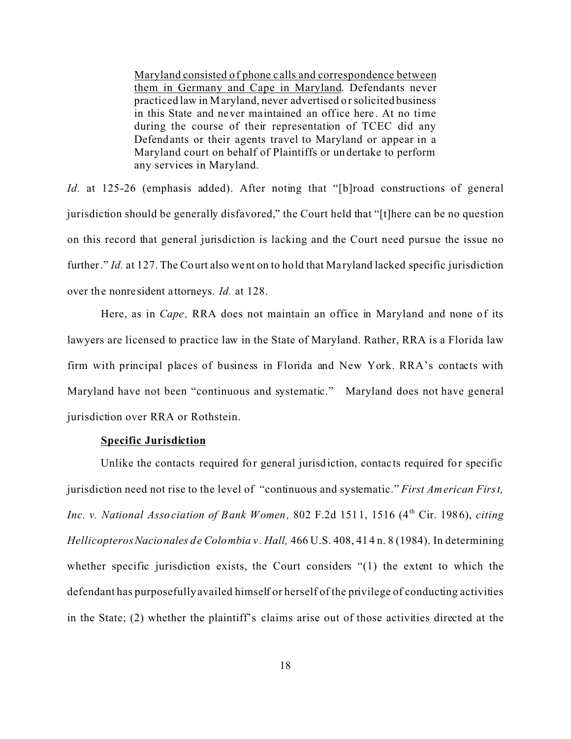Maryland consisted of phone c alls and correspondence between them in Germany and Cape in Maryland. Defendants never practiced law in Maryland, never advertised or solicited business in this State and never maintained an office here . At no time during the course of their representation of TCEC did any Defendants or their agents travel to Maryland or appear in a Maryland court on behalf of Plaintiffs or undertake to perform any services in Maryland.

*Id.* at 125-26 (emphasis added). After noting that "[b]road constructions of general jurisdiction should be generally disfavored," the Court held that "[t]here can be no question on this record that general jurisdiction is lacking and the Court need pursue the issue no further." *Id.* at 127. The Court also went on to hold that Maryland lacked specific jurisdiction over the nonre sident attorneys. *Id.* at 128.

Here, as in *Cape,* RRA does not maintain an office in Maryland and none of its lawyers are licensed to practice law in the State of Maryland. Rather, RRA is a Florida law firm with principal places of business in Florida and New York. RRA's contacts with Maryland have not been "continuous and systematic." Maryland does not have general jurisdiction over RRA or Rothstein.

## **Specific Jurisdiction**

Unlike the contacts required for general jurisdiction, contacts required for specific jurisdiction need not rise to the level of "continuous and systematic." *First American First, Inc. v. National Association of Bank Women, 802 F.2d 1511, 1516 (4<sup>th</sup> Cir. 1986), <i>citing Hellicopteros Nacionales de Colombia v . Hall,* 466 U.S. 408, 414 n. 8 (1984). In determining whether specific jurisdiction exists, the Court considers "(1) the extent to which the defendant has purposefully availed himself or herself of the privilege of conducting activities in the State; (2) whether the plaintiff's claims arise out of those activities directed at the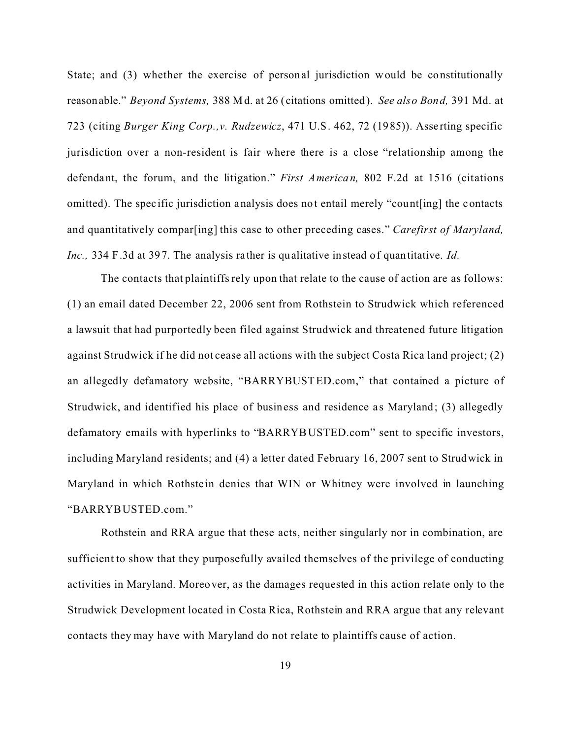State; and (3) whether the exercise of personal jurisdiction would be constitutionally reasonable." *Beyond Systems,* 388 Md. at 26 (citations omitted). *See also Bond,* 391 Md. at 723 (citing *Burger King Corp.,v. Rudzewicz*, 471 U.S. 462, 72 (1985)). Asserting specific jurisdiction over a non-resident is fair where there is a close "relationship among the defendant, the forum, and the litigation." *First American,* 802 F.2d at 1516 (citations omitted). The spec ific jurisdiction analysis does not entail merely "count[ing] the contacts and quantitatively compar[ing] this case to other preceding cases." *Carefirst of Maryland, Inc.,* 334 F.3d at 397. The analysis rather is qualitative instead of quantitative. *Id.*

The contacts that plaintiffs rely upon that relate to the cause of action are as follows: (1) an email dated December 22, 2006 sent from Rothstein to Strudwick which referenced a lawsuit that had purportedly been filed against Strudwick and threatened future litigation against Strudwick if he did not cease all actions with the subject Costa Rica land project; (2) an allegedly defamatory website, "BARRYBUSTED.com," that contained a picture of Strudwick, and identified his place of business and residence as Maryland; (3) allegedly defamatory emails with hyperlinks to "BARRYBUSTED.com" sent to specific investors, including Maryland residents; and (4) a letter dated February 16, 2007 sent to Strudwick in Maryland in which Rothstein denies that WIN or Whitney were involved in launching "BARRYBUSTED.com."

Rothstein and RRA argue that these acts, neither singularly nor in combination, are sufficient to show that they purposefully availed themselves of the privilege of conducting activities in Maryland. Moreover, as the damages requested in this action relate only to the Strudwick Development located in Costa Rica, Rothstein and RRA argue that any relevant contacts they may have with Maryland do not relate to plaintiffs cause of action.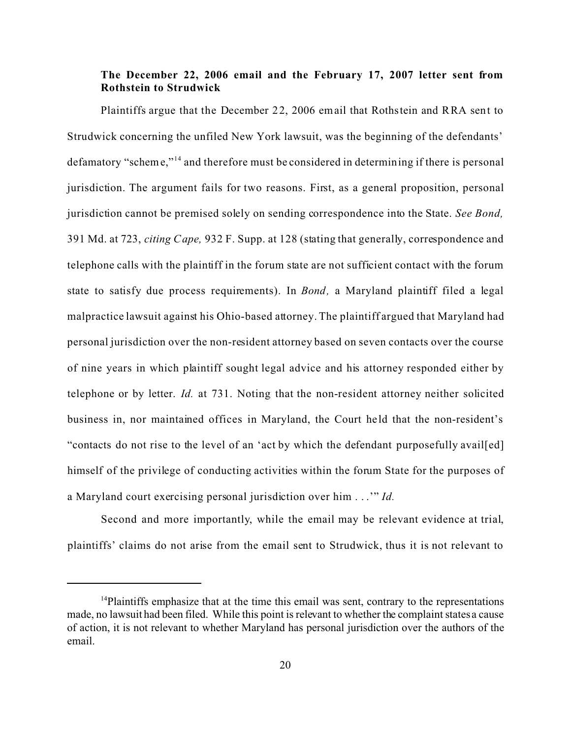# **The December 22, 2006 email and the February 17, 2007 letter sent from Rothstein to Strudwick**

Plaintiffs argue that the December 22, 2006 email that Rothstein and RRA sent to Strudwick concerning the unfiled New York lawsuit, was the beginning of the defendants' defamatory "scheme,"<sup>14</sup> and therefore must be considered in determining if there is personal jurisdiction. The argument fails for two reasons. First, as a general proposition, personal jurisdiction cannot be premised solely on sending correspondence into the State. *See Bond,* 391 Md. at 723, *citing Cape,* 932 F. Supp. at 128 (stating that generally, correspondence and telephone calls with the plaintiff in the forum state are not sufficient contact with the forum state to satisfy due process requirements). In *Bond,* a Maryland plaintiff filed a legal malpractice lawsuit against his Ohio-based attorney. The plaintiff argued that Maryland had personal jurisdiction over the non-resident attorney based on seven contacts over the course of nine years in which plaintiff sought legal advice and his attorney responded either by telephone or by letter. *Id.* at 731. Noting that the non-resident attorney neither solicited business in, nor maintained offices in Maryland, the Court he ld that the non-resident's "contacts do not rise to the level of an 'act by which the defendant purposefully avail[ed] himself of the privilege of conducting activities within the forum State for the purposes of a Maryland court exercising personal jurisdiction over him . . .'" *Id.*

Second and more importantly, while the email may be relevant evidence at trial, plaintiffs' claims do not arise from the email sent to Strudwick, thus it is not relevant to

 $<sup>14</sup>$ Plaintiffs emphasize that at the time this email was sent, contrary to the representations</sup> made, no lawsuit had been filed. While this point is relevant to whether the complaint states a cause of action, it is not relevant to whether Maryland has personal jurisdiction over the authors of the email.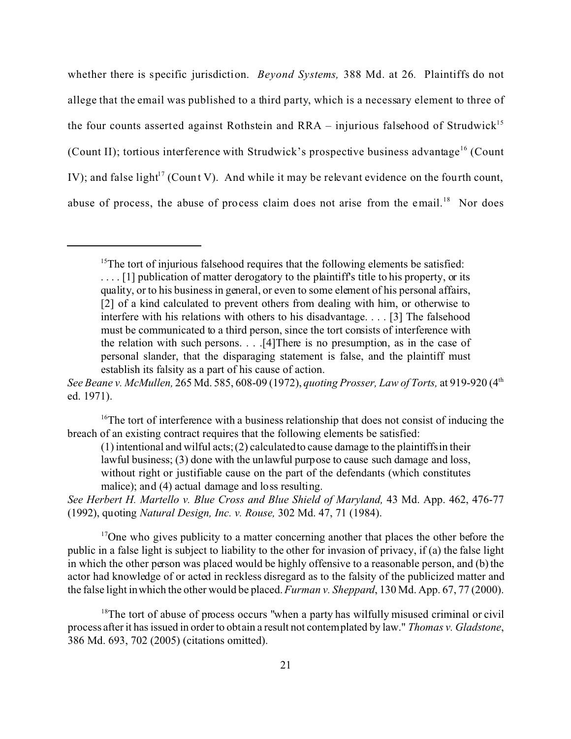whether there is specific jurisdiction. *Beyond Systems,* 388 Md. at 26*.* Plaintiffs do not allege that the email was published to a third party, which is a necessary element to three of the four counts asserted against Rothstein and RRA – injurious falsehood of Strudwick<sup>15</sup> (Count II); tortious interference with Strudwick's prospective business advantage<sup>16</sup> (Count IV); and false light<sup>17</sup> (Count V). And while it may be relevant evidence on the fourth count, abuse of process, the abuse of process claim does not arise from the email.<sup>18</sup> Nor does

 $15$ The tort of injurious falsehood requires that the following elements be satisfied: .... [1] publication of matter derogatory to the plaintiff's title to his property, or its quality, or to his business in general, or even to some element of his personal affairs, [2] of a kind calculated to prevent others from dealing with him, or otherwise to interfere with his relations with others to his disadvantage. . . . [3] The falsehood must be communicated to a third person, since the tort consists of interference with the relation with such persons. . . .[4]There is no presumption, as in the case of personal slander, that the disparaging statement is false, and the plaintiff must establish its falsity as a part of his cause of action.

*See Beane v. McMullen,* 265 Md. 585, 608-09 (1972), *quoting Prosser, Law of Torts,* at 919-920 (4th ed. 1971).

<sup>&</sup>lt;sup>16</sup>The tort of interference with a business relationship that does not consist of inducing the breach of an existing contract requires that the following elements be satisfied:

<sup>(1)</sup> intentional and wilful acts; (2) calculated to cause damage to the plaintiffs in their lawful business; (3) done with the unlawful purpose to cause such damage and loss, without right or justifiable cause on the part of the defendants (which constitutes malice); and (4) actual damage and loss resulting.

*See Herbert H. Martello v. Blue Cross and Blue Shield of Maryland,* 43 Md. App. 462, 476-77 (1992), quoting *Natural Design, Inc. v. Rouse,* 302 Md. 47, 71 (1984).

<sup>&</sup>lt;sup>17</sup>One who gives publicity to a matter concerning another that places the other before the public in a false light is subject to liability to the other for invasion of privacy, if (a) the false light in which the other person was placed would be highly offensive to a reasonable person, and (b) the actor had knowledge of or acted in reckless disregard as to the falsity of the publicized matter and the false light in which the other would be placed. *Furman v. Sheppard*, 130 Md. App. 67, 77 (2000).

<sup>&</sup>lt;sup>18</sup>The tort of abuse of process occurs "when a party has wilfully misused criminal or civil process after it has issued in order to obtain a result not contemplated by law." *Thomas v. Gladstone*, 386 Md. 693, 702 (2005) (citations omitted).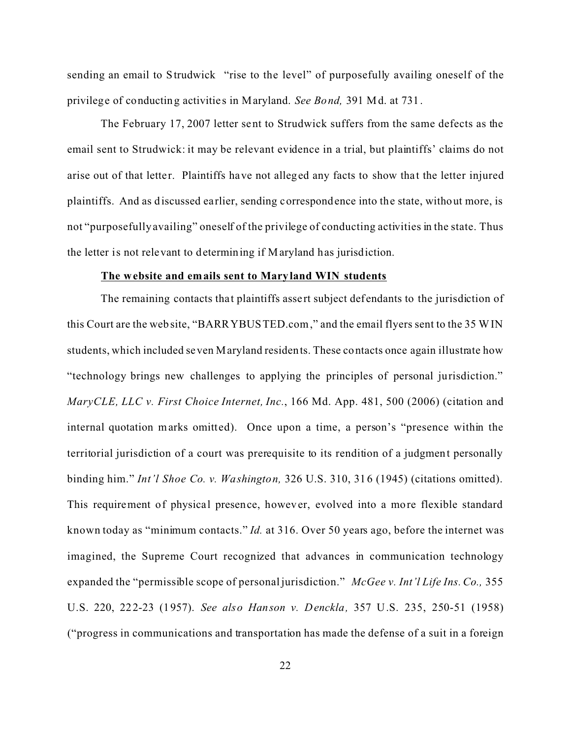sending an email to Strudwick "rise to the level" of purposefully availing oneself of the privilege of conducting activitie s in Maryland. *See Bond,* 391 Md. at 731.

The February 17, 2007 letter sent to Strudwick suffers from the same defects as the email sent to Strudwick: it may be relevant evidence in a trial, but plaintiffs' claims do not arise out of that letter. Plaintiffs have not alleged any facts to show that the letter injured plaintiffs. And as discussed ea rlier, sending correspondence into the state, without more, is not "purposefully availing" oneself of the privilege of conducting activities in the state. Thus the letter is not relevant to determining if Maryland has jurisdiction.

#### **The website and emails sent to Mary land WIN students**

The remaining contacts that plaintiffs assert subject defendants to the jurisdiction of this Court are the website, "BARRYBUSTED.com," and the email flyers sent to the 35 WIN students, which included seven Maryland residents. These contacts once again illustrate how "technology brings new challenges to applying the principles of personal jurisdiction." *MaryCLE, LLC v. First Choice Internet, Inc.*, 166 Md. App. 481, 500 (2006) (citation and internal quotation marks omitted). Once upon a time, a person's "presence within the territorial jurisdiction of a court was prerequisite to its rendition of a judgment personally binding him." *Int'l Shoe Co. v. Washington,* 326 U.S. 310, 316 (1945) (citations omitted). This requirement of physical presence, however, evolved into a more flexible standard known today as "minimum contacts." *Id.* at 316. Over 50 years ago, before the internet was imagined, the Supreme Court recognized that advances in communication technology expanded the "permissible scope of personal jurisdiction." *McGee v. Int'l Life Ins. Co.,* 355 U.S. 220, 222-23 (1957). *See also Hanson v. Denckla,* 357 U.S. 235, 250-51 (1958) ("progress in communications and transportation has made the defense of a suit in a foreign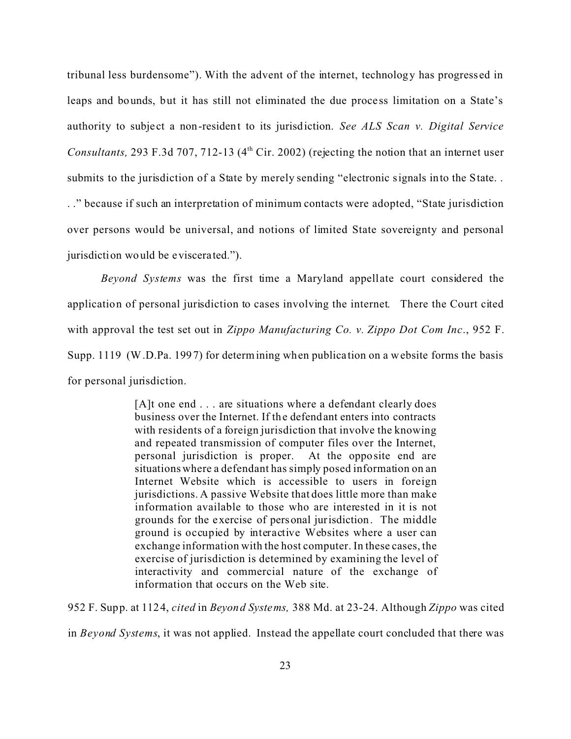tribunal less burdensome"). With the advent of the internet, technology has progress ed in leaps and bounds, but it has still not eliminated the due process limitation on a State's authority to subject a non-resident to its jurisdiction. *See ALS Scan v. Digital Service Consultants,* 293 F.3d 707, 712-13 (4<sup>th</sup> Cir. 2002) (rejecting the notion that an internet user submits to the jurisdiction of a State by merely sending "electronic signals into the State... . ." because if such an interpretation of minimum contacts were adopted, "State jurisdiction over persons would be universal, and notions of limited State sovereignty and personal jurisdiction would be eviscerated.").

*Beyond Systems* was the first time a Maryland appellate court considered the application of personal jurisdiction to cases involving the internet. There the Court cited with approval the test set out in *Zippo Manufacturing Co. v. Zippo Dot Com Inc*., 952 F. Supp. 1119 (W.D.Pa. 1997) for determining when publica tion on a website forms the basis for personal jurisdiction.

> [A]t one end . . . are situations where a defendant clearly does business over the Internet. If the defendant enters into contracts with residents of a foreign jurisdiction that involve the knowing and repeated transmission of computer files over the Internet, personal jurisdiction is proper. At the opposite end are situations where a defendant has simply posed information on an Internet Website which is accessible to users in foreign jurisdictions. A passive Website that does little more than make information available to those who are interested in it is not grounds for the exercise of personal jurisdiction. The middle ground is occupied by interactive Websites where a user can exchange information with the host computer. In these cases, the exercise of jurisdiction is determined by examining the level of interactivity and commercial nature of the exchange of information that occurs on the Web site.

952 F. Supp. at 1124, *cited* in *Beyond Systems,* 388 Md. at 23-24. Although *Zippo* was cited

in *Beyond Systems*, it was not applied. Instead the appellate court concluded that there was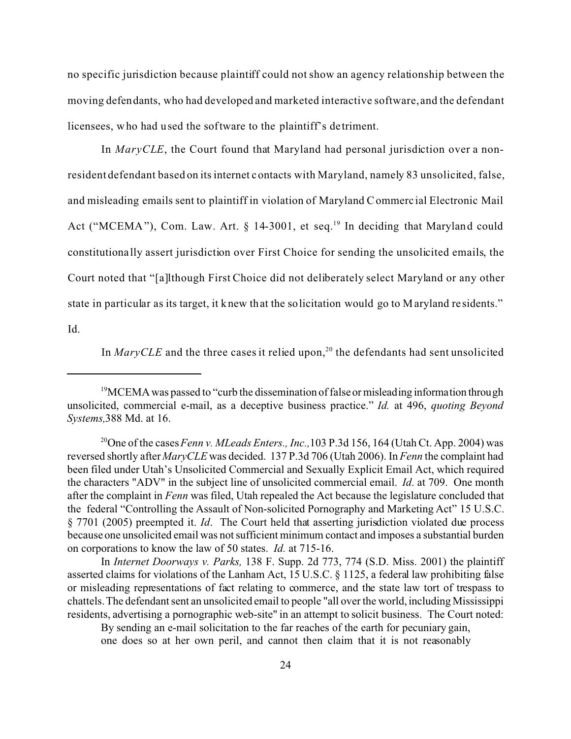no specific jurisdiction because plaintiff could not show an agency relationship between the moving defendants, who had developed and marketed interactive software, and the defendant licensees, who had used the software to the plaintiff's de triment.

 In *MaryCLE*, the Court found that Maryland had personal jurisdiction over a nonresident defendant based on its internet contacts with Maryland, namely 83 unsolicited, false, and misleading emails sent to plaintiff in violation of Maryland Commerc ial Electronic Mail Act ("MCEMA"), Com. Law. Art.  $\S$  14-3001, et seq.<sup>19</sup> In deciding that Maryland could constitutiona lly assert jurisdiction over First Choice for sending the unsolicited emails, the Court noted that "[a]lthough First Choice did not deliberately select Maryland or any other state in particular as its target, it knew that the solicitation would go to Maryland re sidents." Id.

In *MaryCLE* and the three cases it relied upon,<sup>20</sup> the defendants had sent unsolicited

By sending an e-mail solicitation to the far reaches of the earth for pecuniary gain, one does so at her own peril, and cannot then claim that it is not reasonably

<sup>&</sup>lt;sup>19</sup>MCEMA was passed to "curb the dissemination of false or misleading information through unsolicited, commercial e-mail, as a deceptive business practice." *Id.* at 496, *quoting Beyond Systems,*388 Md. at 16.

<sup>&</sup>lt;sup>20</sup>One of the cases *Fenn v. MLeads Enters., Inc.,* 103 P.3d 156, 164 (Utah Ct. App. 2004) was reversed shortly after *MaryCLE* was decided. 137 P.3d 706 (Utah 2006). In *Fenn* the complaint had been filed under Utah's Unsolicited Commercial and Sexually Explicit Email Act, which required the characters "ADV" in the subject line of unsolicited commercial email. *Id*. at 709. One month after the complaint in *Fenn* was filed, Utah repealed the Act because the legislature concluded that the federal "Controlling the Assault of Non-solicited Pornography and Marketing Act" 15 U.S.C. § 7701 (2005) preempted it. *Id*. The Court held that asserting jurisdiction violated due process because one unsolicited email was not sufficient minimum contact and imposes a substantial burden on corporations to know the law of 50 states. *Id.* at 715-16.

In *Internet Doorways v. Parks,* 138 F. Supp. 2d 773, 774 (S.D. Miss. 2001) the plaintiff asserted claims for violations of the Lanham Act, 15 U.S.C. § 1125, a federal law prohibiting false or misleading representations of fact relating to commerce, and the state law tort of trespass to chattels. The defendant sent an unsolicited email to people "all over the world, including Mississippi residents, advertising a pornographic web-site" in an attempt to solicit business. The Court noted: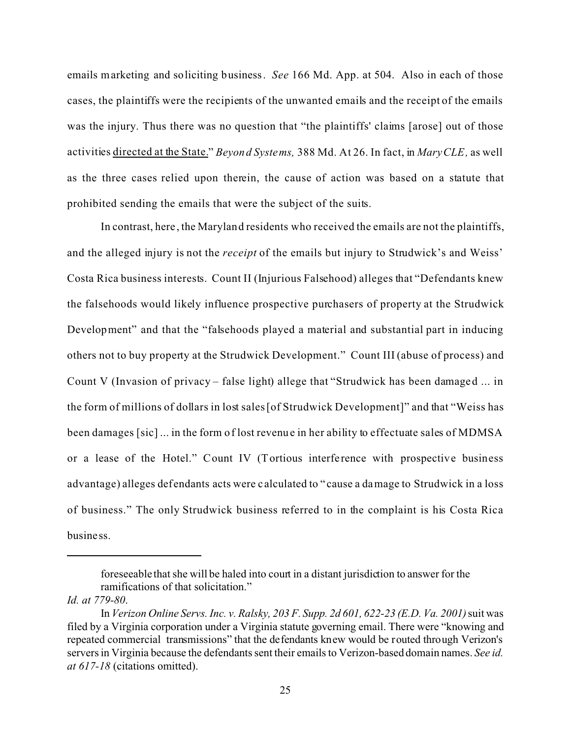emails marketing and soliciting business. *See* 166 Md. App. at 504. Also in each of those cases, the plaintiffs were the recipients of the unwanted emails and the receipt of the emails was the injury. Thus there was no question that "the plaintiffs' claims [arose] out of those activities directed at the State." *Beyond Systems,* 388 Md. At 26. In fact, in *MaryCLE,* as well as the three cases relied upon therein, the cause of action was based on a statute that prohibited sending the emails that were the subject of the suits.

In contrast, here , the Maryland residents who received the emails are not the plaintiffs, and the alleged injury is not the *receipt* of the emails but injury to Strudwick's and Weiss' Costa Rica business interests. Count II (Injurious Falsehood) alleges that "Defendants knew the falsehoods would likely influence prospective purchasers of property at the Strudwick Development" and that the "falsehoods played a material and substantial part in inducing others not to buy property at the Strudwick Development." Count III (abuse of process) and Count V (Invasion of privacy – false light) allege that "Strudwick has been damaged ... in the form of millions of dollars in lost sales [of Strudwick Development]" and that "Weiss has been damages [sic] ... in the form of lost revenue in her ability to effectuate sales of MDMSA or a lease of the Hotel." Count IV (Tortious interfe rence with prospective business advantage) alleges defendants acts were c alculated to "cause a damage to Strudwick in a loss of business." The only Strudwick business referred to in the complaint is his Costa Rica business.

foreseeable that she will be haled into court in a distant jurisdiction to answer for the ramifications of that solicitation."

*Id. at 779-80*.

In *Verizon Online Servs. Inc. v. Ralsky, 203 F. Supp. 2d 601, 622-23 (E.D. Va. 2001)* suit was filed by a Virginia corporation under a Virginia statute governing email. There were "knowing and repeated commercial transmissions" that the defendants knew would be routed through Verizon's servers in Virginia because the defendants sent their emails to Verizon-based domain names. *See id. at 617-18* (citations omitted).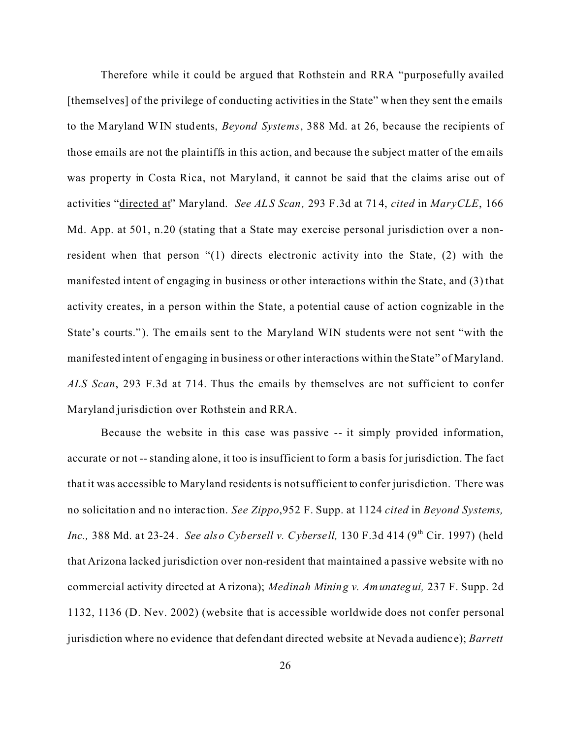Therefore while it could be argued that Rothstein and RRA "purposefully availed [themselves] of the privilege of conducting activities in the State" when they sent the emails to the Maryland WIN students, *Beyond Systems*, 388 Md. at 26, because the recipients of those emails are not the plaintiffs in this action, and because the subject matter of the emails was property in Costa Rica, not Maryland, it cannot be said that the claims arise out of activities "directed at" Maryland. *See ALS Scan,* 293 F.3d at 714, *cited* in *MaryCLE*, 166 Md. App. at 501, n.20 (stating that a State may exercise personal jurisdiction over a nonresident when that person "(1) directs electronic activity into the State, (2) with the manifested intent of engaging in business or other interactions within the State, and (3) that activity creates, in a person within the State, a potential cause of action cognizable in the State's courts." ). The emails sent to the Maryland WIN students were not sent "with the manifested intent of engaging in business or other interactions within the State" of Maryland. *ALS Scan*, 293 F.3d at 714. Thus the emails by themselves are not sufficient to confer Maryland jurisdiction over Rothstein and RRA.

Because the website in this case was passive -- it simply provided information, accurate or not -- standing alone, it too is insufficient to form a basis for jurisdiction. The fact that it was accessible to Maryland residents is not sufficient to confer jurisdiction. There was no solicitation and no interac tion. *See Zippo*,952 F. Supp. at 1124 *cited* in *Beyond Systems, Inc.*, 388 Md. at 23-24. *See also Cybersell v. Cybersell*, 130 F.3d 414 (9<sup>th</sup> Cir. 1997) (held that Arizona lacked jurisdiction over non-resident that maintained a passive website with no commercial activity directed at Arizona); *Medinah Mining v. Amunategui,* 237 F. Supp. 2d 1132, 1136 (D. Nev. 2002) (website that is accessible worldwide does not confer personal jurisdiction where no evidence that defendant directed website at Nevada audienc e); *Barrett*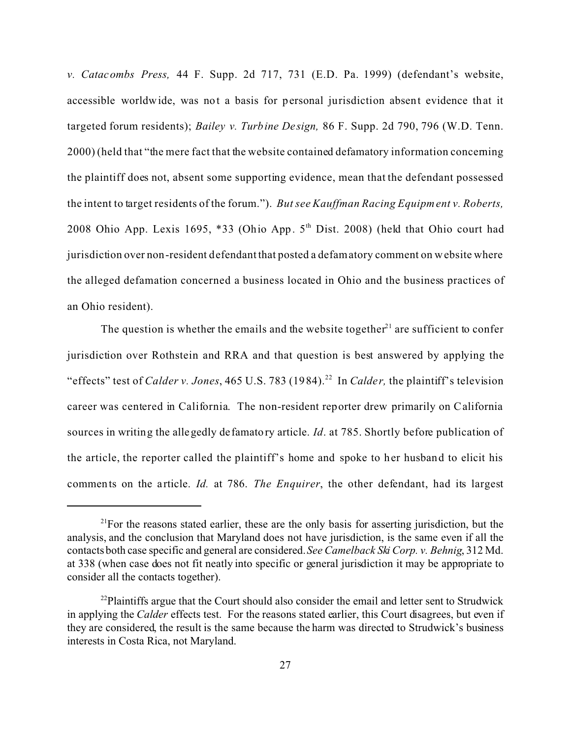*v. Catacombs Press,* 44 F. Supp. 2d 717, 731 (E.D. Pa. 1999) (defendant's website, accessible worldwide, was not a basis for personal jurisdiction absent evidence that it targeted forum residents); *Bailey v. Turbine Design*, 86 F. Supp. 2d 790, 796 (W.D. Tenn.) 2000) (held that "the mere fact that the website contained defamatory information concerning the plaintiff does not, absent some supporting evidence, mean that the defendant possessed the intent to target residents of the forum."). *But see Kauffman Racing Equipment v. Roberts,* 2008 Ohio App. Lexis 1695, \*33 (Ohio App.  $5<sup>th</sup>$  Dist. 2008) (held that Ohio court had jurisdiction over non-resident defendant that posted a defamatory comment on website where the alleged defamation concerned a business located in Ohio and the business practices of an Ohio resident).

The question is whether the emails and the website together<sup> $21$ </sup> are sufficient to confer jurisdiction over Rothstein and RRA and that question is best answered by applying the "effects" test of *Calder v. Jones*, 465 U.S. 783 (1984).<sup>22</sup> In *Calder*, the plaintiff's television career was centered in California. The non-resident reporter drew primarily on California sources in writing the allegedly defamatory article. *Id*. at 785. Shortly before publication of the article, the reporter called the plaintiff's home and spoke to her husband to elicit his comments on the a rticle. *Id.* at 786. *The Enquirer*, the other defendant, had its largest

 $2^{1}$ For the reasons stated earlier, these are the only basis for asserting jurisdiction, but the analysis, and the conclusion that Maryland does not have jurisdiction, is the same even if all the contacts both case specific and general are considered. *See Camelback Ski Corp. v. Behnig*, 312 Md. at 338 (when case does not fit neatly into specific or general jurisdiction it may be appropriate to consider all the contacts together).

 $^{22}$ Plaintiffs argue that the Court should also consider the email and letter sent to Strudwick in applying the *Calder* effects test. For the reasons stated earlier, this Court disagrees, but even if they are considered, the result is the same because the harm was directed to Strudwick's business interests in Costa Rica, not Maryland.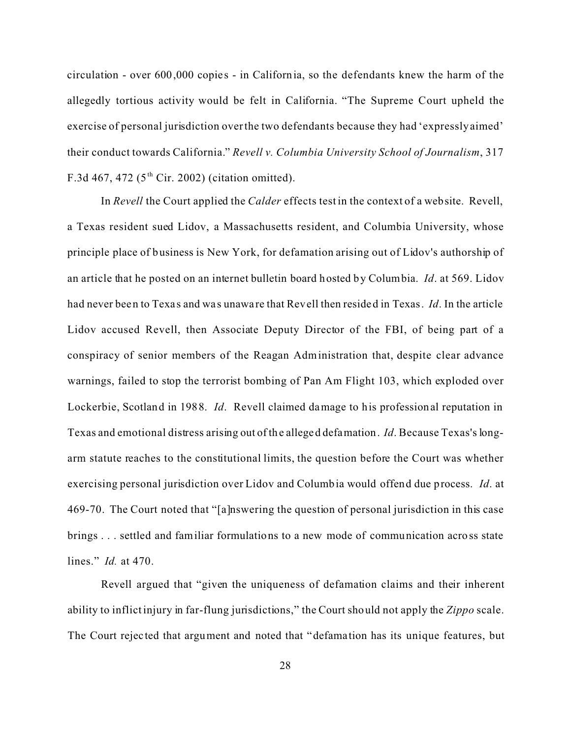circulation - over 600,000 copies - in California, so the defendants knew the harm of the allegedly tortious activity would be felt in California. "The Supreme Court upheld the exercise of personal jurisdiction over the two defendants because they had 'expressly aimed' their conduct towards California." *Revell v. Columbia University School of Journalism*, 317 F.3d 467, 472 ( $5<sup>th</sup>$  Cir. 2002) (citation omitted).

In *Revell* the Court applied the *Calder* effects test in the context of a website. Revell, a Texas resident sued Lidov, a Massachusetts resident, and Columbia University, whose principle place of business is New York, for defamation arising out of Lidov's authorship of an article that he posted on an internet bulletin board hosted by Columbia. *Id*. at 569. Lidov had never been to Texa s and wa s unawa re that Revell then resided in Texas. *Id*. In the article Lidov accused Revell, then Associate Deputy Director of the FBI, of being part of a conspiracy of senior members of the Reagan Administration that, despite clear advance warnings, failed to stop the terrorist bombing of Pan Am Flight 103, which exploded over Lockerbie, Scotland in 1988. *Id*. Revell claimed damage to his professional reputation in Texas and emotional distress arising out of the alleged defamation. *Id*. Because Texas's longarm statute reaches to the constitutional limits, the question before the Court was whether exercising personal jurisdiction over Lidov and Columbia would offend due process. *Id*. at 469-70. The Court noted that "[a]nswering the question of personal jurisdiction in this case brings . . . settled and familiar formulations to a new mode of communication across state lines." *Id.* at 470.

Revell argued that "given the uniqueness of defamation claims and their inherent ability to inflict injury in far-flung jurisdictions," the Court should not apply the *Zippo* scale. The Court rejec ted that argument and noted that "defama tion has its unique features, but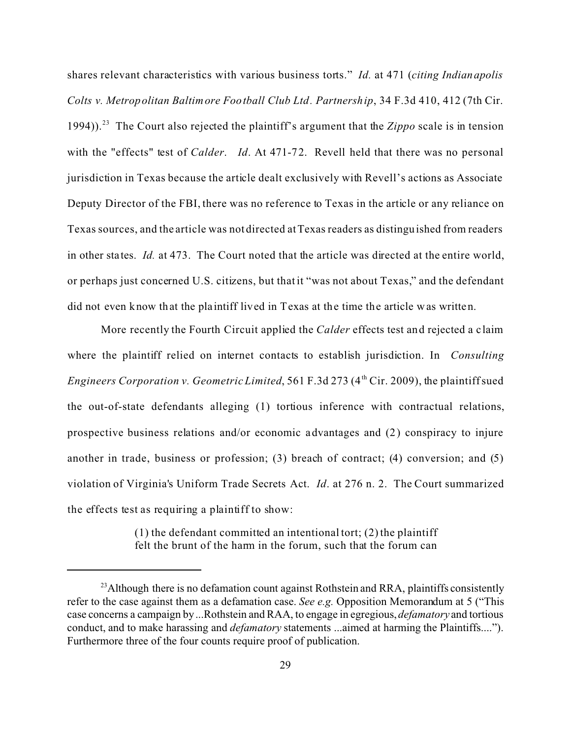shares relevant characteristics with various business torts." *Id.* at 471 (*citing Indianapolis Colts v. Metropolitan Baltimore Football Club Ltd. Partnership*, 34 F.3d 410, 412 (7th Cir. 1994)).<sup>23</sup> The Court also rejected the plaintiff's argument that the *Zippo* scale is in tension with the "effects" test of *Calder*. *Id*. At 471-72. Revell held that there was no personal jurisdiction in Texas because the article dealt exclusively with Revell's actions as Associate Deputy Director of the FBI, there was no reference to Texas in the article or any reliance on Texas sources, and the article was not directed at Texas readers as distinguished from readers in other sta tes. *Id.* at 473. The Court noted that the article was directed at the entire world, or perhaps just concerned U.S. citizens, but that it "was not about Texas," and the defendant did not even know that the pla intiff lived in Texas at the time the article was written.

More recently the Fourth Circuit applied the *Calder* effects test and rejected a c laim where the plaintiff relied on internet contacts to establish jurisdiction. In *Consulting Engineers Corporation v. Geometric Limited*, 561 F.3d 273 (4<sup>th</sup> Cir. 2009), the plaintiff sued the out-of-state defendants alleging (1) tortious inference with contractual relations, prospective business relations and/or economic advantages and (2) conspiracy to injure another in trade, business or profession; (3) breach of contract; (4) conversion; and (5) violation of Virginia's Uniform Trade Secrets Act. *Id*. at 276 n. 2. The Court summarized the effects test as requiring a plaintiff to show:

> $(1)$  the defendant committed an intentional tort;  $(2)$  the plaintiff felt the brunt of the harm in the forum, such that the forum can

<sup>&</sup>lt;sup>23</sup> Although there is no defamation count against Rothstein and RRA, plaintiffs consistently refer to the case against them as a defamation case. *See e.g.* Opposition Memorandum at 5 ("This case concerns a campaign by ...Rothstein and RAA, to engage in egregious, *defamatory* and tortious conduct, and to make harassing and *defamatory* statements ...aimed at harming the Plaintiffs...."). Furthermore three of the four counts require proof of publication.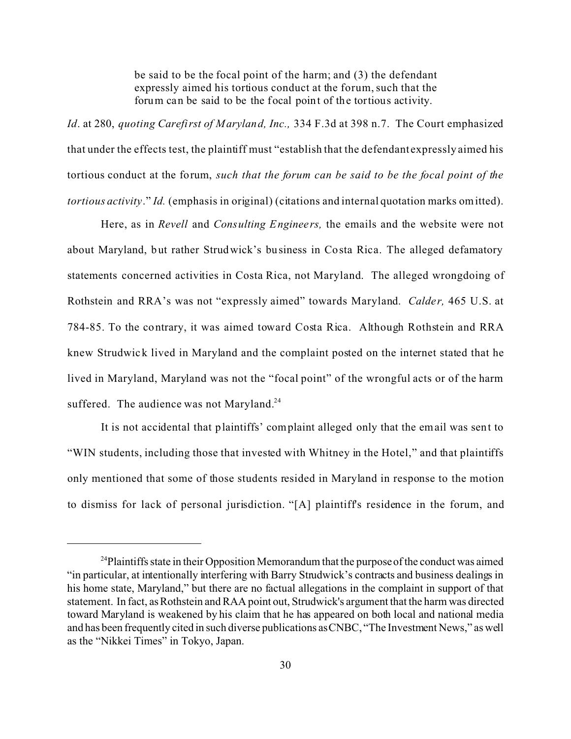be said to be the focal point of the harm; and (3) the defendant expressly aimed his tortious conduct at the forum, such that the forum can be said to be the focal point of the tortious activity.

*Id*. at 280, *quoting Carefirst of Maryland, Inc.,* 334 F.3d at 398 n.7. The Court emphasized that under the effects test, the plaintiff must "establish that the defendant expressly aimed his tortious conduct at the forum, *such that the forum can be said to be the focal point of the tortious activity*." *Id.* (emphasis in original) (citations and internal quotation marks omitted).

Here, as in *Revell* and *Consulting Enginee rs,* the emails and the website were not about Maryland, but rather Strudwick's business in Costa Rica. The alleged defamatory statements concerned activities in Costa Rica, not Maryland. The alleged wrongdoing of Rothstein and RRA's was not "expressly aimed" towards Maryland. *Calder,* 465 U.S. at 784-85. To the contrary, it was aimed toward Costa Rica. Although Rothstein and RRA knew Strudwick lived in Maryland and the complaint posted on the internet stated that he lived in Maryland, Maryland was not the "focal point" of the wrongful acts or of the harm suffered. The audience was not Maryland.<sup>24</sup>

It is not accidental that plaintiffs' complaint alleged only that the email was sent to "WIN students, including those that invested with Whitney in the Hotel," and that plaintiffs only mentioned that some of those students resided in Maryland in response to the motion to dismiss for lack of personal jurisdiction. "[A] plaintiff's residence in the forum, and

<sup>&</sup>lt;sup>24</sup>Plaintiffs state in their Opposition Memorandum that the purpose of the conduct was aimed "in particular, at intentionally interfering with Barry Strudwick's contracts and business dealings in his home state, Maryland," but there are no factual allegations in the complaint in support of that statement. In fact, as Rothstein and RAA point out, Strudwick's argument that the harm was directed toward Maryland is weakened by his claim that he has appeared on both local and national media and has been frequently cited in such diverse publications as CNBC, "The Investment News," as well as the "Nikkei Times" in Tokyo, Japan.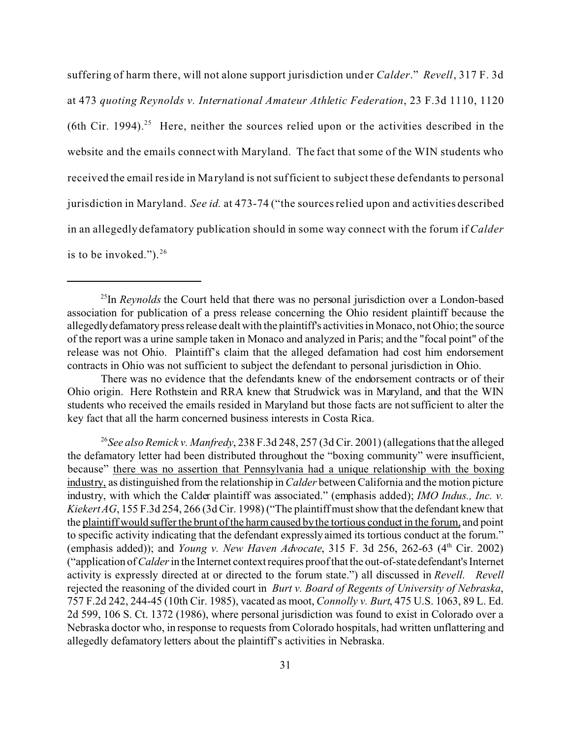suffering of harm there, will not alone support jurisdiction under *Calder*." *Revell*, 317 F. 3d at 473 *quoting Reynolds v. International Amateur Athletic Federation*, 23 F.3d 1110, 1120 (6th Cir. 1994).<sup>25</sup> Here, neither the sources relied upon or the activities described in the website and the emails connect with Maryland. The fact that some of the WIN students who received the email reside in Ma ryland is not sufficient to subject these defendants to personal jurisdiction in Maryland. *See id.* at 473-74 ("the sources relied upon and activities described in an allegedly defamatory publication should in some way connect with the forum if *Calder* is to be invoked.").  $2^6$ 

<sup>&</sup>lt;sup>25</sup>In *Reynolds* the Court held that there was no personal jurisdiction over a London-based association for publication of a press release concerning the Ohio resident plaintiff because the allegedlydefamatory press release dealt with the plaintiff's activities in Monaco, not Ohio; the source of the report was a urine sample taken in Monaco and analyzed in Paris; and the "focal point" of the release was not Ohio. Plaintiff's claim that the alleged defamation had cost him endorsement contracts in Ohio was not sufficient to subject the defendant to personal jurisdiction in Ohio.

There was no evidence that the defendants knew of the endorsement contracts or of their Ohio origin. Here Rothstein and RRA knew that Strudwick was in Maryland, and that the WIN students who received the emails resided in Maryland but those facts are not sufficient to alter the key fact that all the harm concerned business interests in Costa Rica.

<sup>26</sup>*See also Remick v. Manfredy*, 238 F.3d 248, 257 (3d Cir. 2001) (allegations that the alleged the defamatory letter had been distributed throughout the "boxing community" were insufficient, because" there was no assertion that Pennsylvania had a unique relationship with the boxing industry, as distinguished from the relationship in *Calder* between California and the motion picture industry, with which the Calder plaintiff was associated." (emphasis added); *IMO Indus., Inc. v. Kiekert AG*, 155 F.3d 254, 266 (3d Cir. 1998) ("The plaintiff must show that the defendant knew that the plaintiff would suffer the brunt of the harm caused by the tortious conduct in the forum, and point to specific activity indicating that the defendant expressly aimed its tortious conduct at the forum." (emphasis added)); and *Young v. New Haven Advocate*, 315 F. 3d 256, 262-63 (4<sup>th</sup> Cir. 2002) ("application of *Calder* in the Internet context requires proof that the out-of-state defendant's Internet activity is expressly directed at or directed to the forum state.") all discussed in *Revell*. *Revell* rejected the reasoning of the divided court in *Burt v. Board of Regents of University of Nebraska*, 757 F.2d 242, 244-45 (10th Cir. 1985), vacated as moot, *Connolly v. Burt*, 475 U.S. 1063, 89 L. Ed. 2d 599, 106 S. Ct. 1372 (1986), where personal jurisdiction was found to exist in Colorado over a Nebraska doctor who, in response to requests from Colorado hospitals, had written unflattering and allegedly defamatory letters about the plaintiff's activities in Nebraska.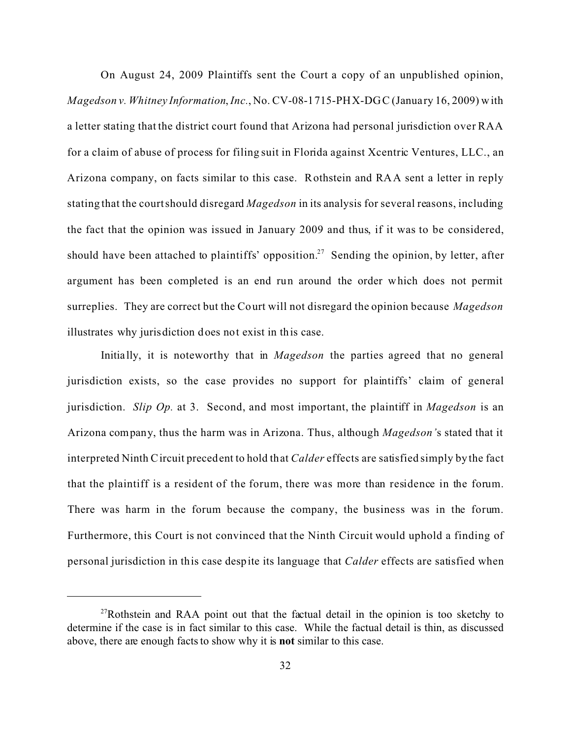On August 24, 2009 Plaintiffs sent the Court a copy of an unpublished opinion, *Magedson v. Whitney Information*, *Inc.*, No. CV-08-1715-PHX-DGC (Janua ry 16, 2009) with a letter stating that the district court found that Arizona had personal jurisdiction over RAA for a claim of abuse of process for filing suit in Florida against Xcentric Ventures, LLC., an Arizona company, on facts similar to this case. Rothstein and RAA sent a letter in reply stating that the court should disregard *Magedson* in its analysis for several reasons, including the fact that the opinion was issued in January 2009 and thus, if it was to be considered, should have been attached to plaintiffs' opposition.<sup>27</sup> Sending the opinion, by letter, after argument has been completed is an end run around the order which does not permit surreplies. They are correct but the Court will not disregard the opinion because *Magedson* illustrates why jurisdiction does not exist in this case.

Initia lly, it is noteworthy that in *Magedson* the parties agreed that no general jurisdiction exists, so the case provides no support for plaintiffs' claim of general jurisdiction. *Slip Op.* at 3. Second, and most important, the plaintiff in *Magedson* is an Arizona company, thus the harm was in Arizona. Thus, although *Magedson'*s stated that it interpreted Ninth Circuit precedent to hold that *Calder* effects are satisfied simply by the fact that the plaintiff is a resident of the forum, there was more than residence in the forum. There was harm in the forum because the company, the business was in the forum. Furthermore, this Court is not convinced that the Ninth Circuit would uphold a finding of personal jurisdiction in this case despite its language that *Calder* effects are satisfied when

<sup>&</sup>lt;sup>27</sup>Rothstein and RAA point out that the factual detail in the opinion is too sketchy to determine if the case is in fact similar to this case. While the factual detail is thin, as discussed above, there are enough facts to show why it is **not** similar to this case.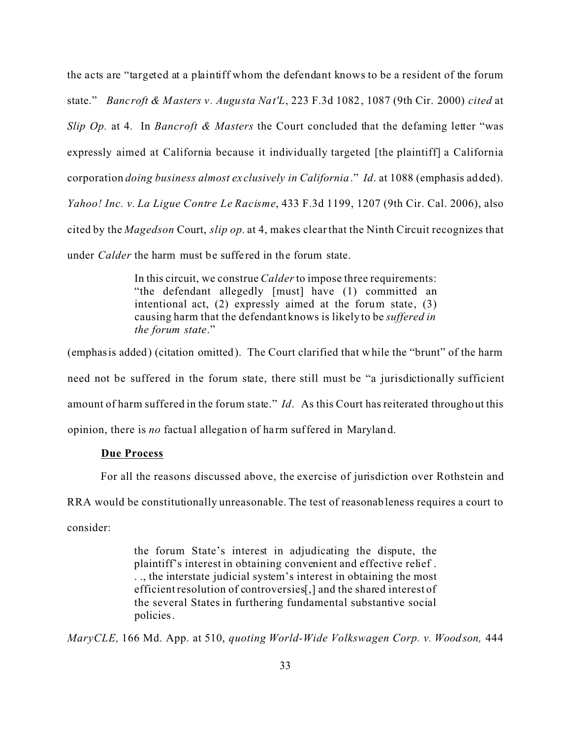the acts are "targeted at a plaintiff whom the defendant knows to be a resident of the forum state." *Bancroft & Masters v. Augusta Nat'L*, 223 F.3d 1082, 1087 (9th Cir. 2000) *cited* at *Slip Op.* at 4. In *Bancroft & Masters* the Court concluded that the defaming letter "was expressly aimed at California because it individually targeted [the plaintiff] a California corporation *doing business almost exclusively in California*." *Id*. at 1088 (emphasis added). *Yahoo! Inc. v. La Ligue Contre Le Racisme*, 433 F.3d 1199, 1207 (9th Cir. Cal. 2006), also cited by the *Magedson* Court, *slip op.* at 4, makes clear that the Ninth Circuit recognizes that under *Calder* the harm must be suffe red in the forum state.

> In this circuit, we construe *Calder* to impose three requirements: "the defendant allegedly [must] have (1) committed an intentional act, (2) expressly aimed at the forum state, (3) causing harm that the defendant knows is likely to be *suffered in the forum state*."

(emphasis added) (citation omitted). The Court clarified that while the "brunt" of the harm need not be suffered in the forum state, there still must be "a jurisdictionally sufficient amount of harm suffered in the forum state." *Id*. As this Court has reiterated throughout this opinion, there is *no* factual allegation of harm suffered in Maryland.

## **Due Process**

For all the reasons discussed above, the exercise of jurisdiction over Rothstein and

RRA would be constitutionally unreasonable. The test of reasonableness requires a court to consider:

> the forum State's interest in adjudicating the dispute, the plaintiff's interest in obtaining convenient and effective relief . . ., the interstate judicial system's interest in obtaining the most efficient resolution of controversies[,] and the shared interest of the several States in furthering fundamental substantive social policies.

*MaryCLE,* 166 Md. App. at 510, *quoting World-Wide Volkswagen Corp. v. Woodson,* 444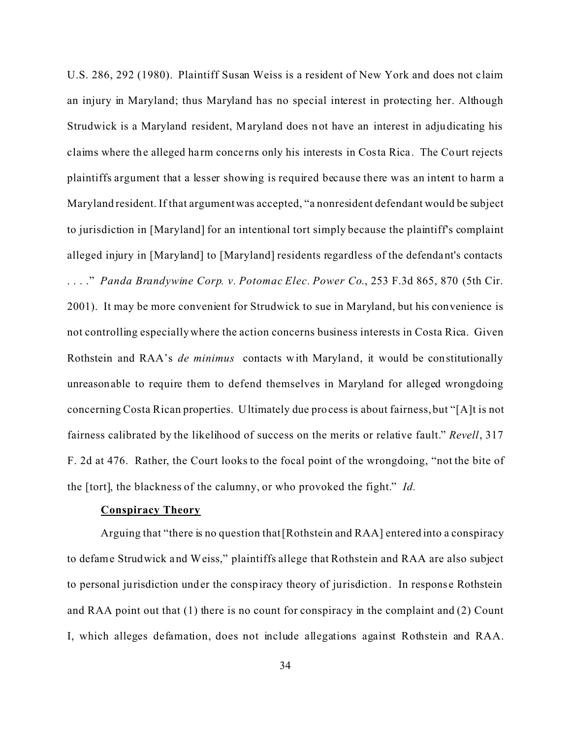U.S. 286, 292 (1980). Plaintiff Susan Weiss is a resident of New York and does not claim an injury in Maryland; thus Maryland has no special interest in protecting her. Although Strudwick is a Maryland resident, Maryland does not have an interest in adjudicating his claims where the alleged ha rm conce rns only his interests in Costa Rica. The Court rejects plaintiffs argument that a lesser showing is required because there was an intent to harm a Maryland resident. If that argument was accepted, "a nonresident defendant would be subject to jurisdiction in [Maryland] for an intentional tort simply because the plaintiff's complaint alleged injury in [Maryland] to [Maryland] residents regardless of the defendant's contacts . . . ." *Panda Brandywine Corp. v. Potomac Elec. Power Co*., 253 F.3d 865, 870 (5th Cir. 2001). It may be more convenient for Strudwick to sue in Maryland, but his convenience is not controlling especially where the action concerns business interests in Costa Rica. Given Rothstein and RAA's *de minimus* contacts with Maryland, it would be constitutionally unreasonable to require them to defend themselves in Maryland for alleged wrongdoing concerning Costa Rican properties. Ultimately due process is about fairness, but "[A]t is not fairness calibrated by the likelihood of success on the merits or relative fault." *Revell*, 317 F. 2d at 476. Rather, the Court looks to the focal point of the wrongdoing, "not the bite of the [tort], the blackness of the calumny, or who provoked the fight." *Id.*

### **Conspiracy Theory**

Arguing that "there is no question that [Rothstein and RAA] entered into a conspiracy to defame Strudwick and Weiss," plaintiffs allege that Rothstein and RAA are also subject to personal jurisdiction under the conspiracy theory of jurisdiction. In response Rothstein and RAA point out that (1) there is no count for conspiracy in the complaint and (2) Count I, which alleges defamation, does not include allegations against Rothstein and RAA.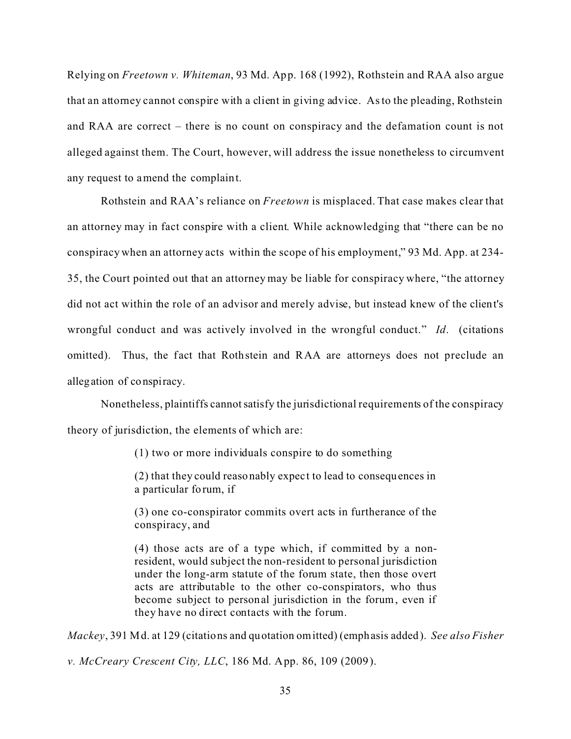Relying on *Freetown v. Whiteman*, 93 Md. App. 168 (1992), Rothstein and RAA also argue that an attorney cannot conspire with a client in giving advice. As to the pleading, Rothstein and RAA are correct – there is no count on conspiracy and the defamation count is not alleged against them. The Court, however, will address the issue nonetheless to circumvent any request to amend the complaint.

Rothstein and RAA's reliance on *Freetown* is misplaced. That case makes clear that an attorney may in fact conspire with a client. While acknowledging that "there can be no conspiracy when an attorney acts within the scope of his employment," 93 Md. App. at 234- 35, the Court pointed out that an attorney may be liable for conspiracy where, "the attorney did not act within the role of an advisor and merely advise, but instead knew of the client's wrongful conduct and was actively involved in the wrongful conduct." *Id*. (citations omitted). Thus, the fact that Rothstein and RAA are attorneys does not preclude an allegation of conspiracy.

Nonetheless, plaintiffs cannotsatisfy the jurisdictional requirements of the conspiracy theory of jurisdiction, the elements of which are:

(1) two or more individuals conspire to do something

(2) that they could reasonably expec t to lead to consequences in a particular forum, if

(3) one co-conspirator commits overt acts in furtherance of the conspiracy, and

(4) those acts are of a type which, if committed by a nonresident, would subject the non-resident to personal jurisdiction under the long-arm statute of the forum state, then those overt acts are attributable to the other co-conspirators, who thus become subject to personal jurisdiction in the forum, even if they have no direct contacts with the forum.

*Mackey*, 391 Md. at 129 (citations and quotation omitted) (emphasis added). *See also Fisher*

*v. McCreary Crescent City, LLC*, 186 Md. App. 86, 109 (2009).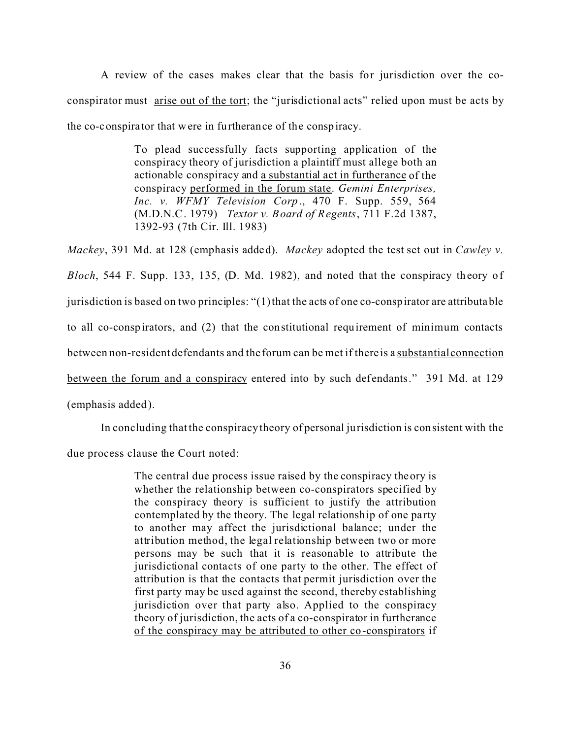A review of the cases makes clear that the basis for jurisdiction over the coconspirator must arise out of the tort; the "jurisdictional acts" relied upon must be acts by the co-conspira tor that were in furtherance of the conspiracy.

> To plead successfully facts supporting application of the conspiracy theory of jurisdiction a plaintiff must allege both an actionable conspiracy and a substantial act in furtherance of the conspiracy performed in the forum state. *Gemini Enterprises, Inc. v. WFMY Television Corp*., 470 F. Supp. 559, 564 (M.D.N.C. 1979) *Textor v. Board of Regents*, 711 F.2d 1387, 1392-93 (7th Cir. Ill. 1983)

*Mackey*, 391 Md. at 128 (emphasis added). *Mackey* adopted the test set out in *Cawley v. Bloch*, 544 F. Supp. 133, 135, (D. Md. 1982), and noted that the conspiracy th eory of jurisdiction is based on two principles: "(1) that the acts of one co-conspirator are attributable to all co-conspirators, and (2) that the constitutional requirement of minimum contacts between non-resident defendants and the forum can be met if there is a substantial connection between the forum and a conspiracy entered into by such defendants." 391 Md. at 129 (emphasis added).

In concluding that the conspiracy theory of personal jurisdiction is consistent with the

due process clause the Court noted:

The central due process issue raised by the conspiracy theory is whether the relationship between co-conspirators specified by the conspiracy theory is sufficient to justify the attribution contemplated by the theory. The legal relationship of one pa rty to another may affect the jurisdictional balance; under the attribution method, the legal relationship between two or more persons may be such that it is reasonable to attribute the jurisdictional contacts of one party to the other. The effect of attribution is that the contacts that permit jurisdiction over the first party may be used against the second, thereby establishing jurisdiction over that party also. Applied to the conspiracy theory of jurisdiction, the acts of a co-conspirator in furtherance of the conspiracy may be attributed to other co-conspirators if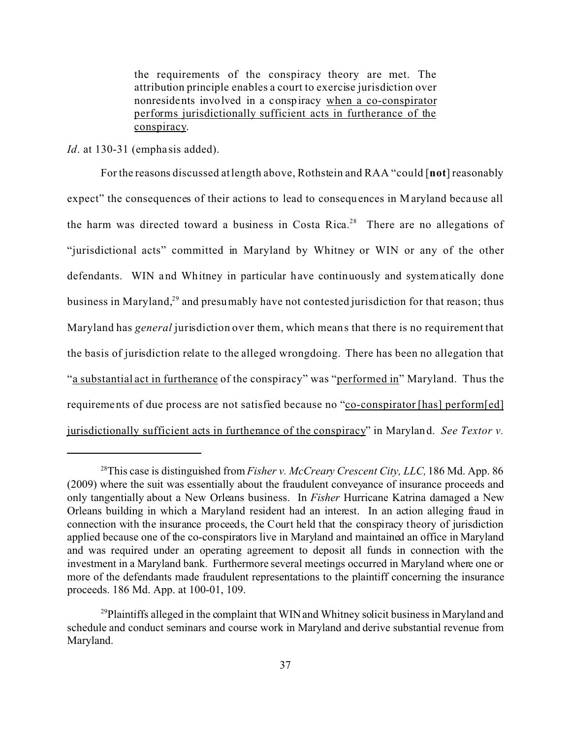the requirements of the conspiracy theory are met. The attribution principle enables a court to exercise jurisdiction over nonresidents involved in a conspiracy when a co-conspirator performs jurisdictionally sufficient acts in furtherance of the conspiracy.

*Id.* at 130-31 (emphasis added).

For the reasons discussed at length above, Rothstein and RAA "could [**not**] reasonably expect" the consequences of their actions to lead to consequences in Maryland because all the harm was directed toward a business in Costa Rica.<sup>28</sup> There are no allegations of "jurisdictional acts" committed in Maryland by Whitney or WIN or any of the other defendants. WIN and Whitney in particular have continuously and systematically done business in Maryland,<sup>29</sup> and presumably have not contested jurisdiction for that reason; thus Maryland has *general* jurisdiction over them, which means that there is no requirement that the basis of jurisdiction relate to the alleged wrongdoing. There has been no allegation that "a substantial act in furtherance of the conspiracy" was "performed in" Maryland. Thus the requirements of due process are not satisfied because no "co-conspirator [has] perform[ed] jurisdictionally sufficient acts in furtherance of the conspiracy" in Maryland. *See Textor v.*

<sup>28</sup>This case is distinguished from *Fisher v. McCreary Crescent City, LLC,* 186 Md. App. 86 (2009) where the suit was essentially about the fraudulent conveyance of insurance proceeds and only tangentially about a New Orleans business. In *Fisher* Hurricane Katrina damaged a New Orleans building in which a Maryland resident had an interest. In an action alleging fraud in connection with the insurance proceeds, the Court held that the conspiracy theory of jurisdiction applied because one of the co-conspirators live in Maryland and maintained an office in Maryland and was required under an operating agreement to deposit all funds in connection with the investment in a Maryland bank. Furthermore several meetings occurred in Maryland where one or more of the defendants made fraudulent representations to the plaintiff concerning the insurance proceeds. 186 Md. App. at 100-01, 109.

<sup>&</sup>lt;sup>29</sup>Plaintiffs alleged in the complaint that WIN and Whitney solicit business in Maryland and schedule and conduct seminars and course work in Maryland and derive substantial revenue from Maryland.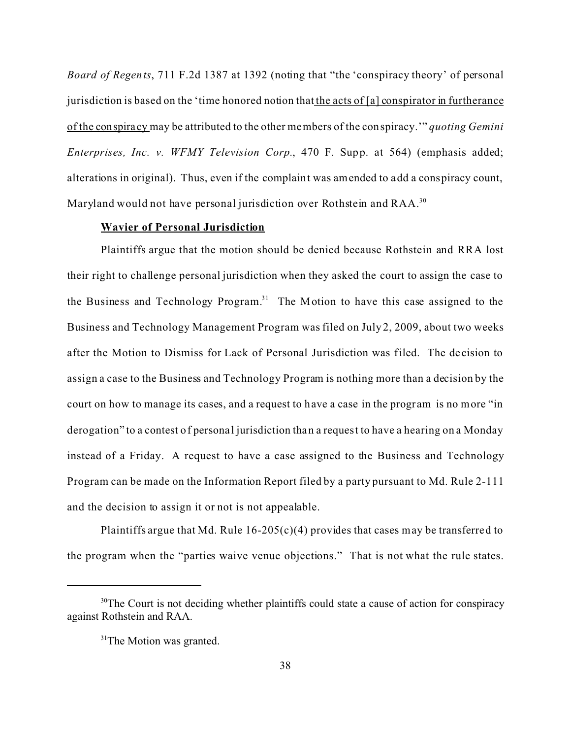*Board of Regents*, 711 F.2d 1387 at 1392 (noting that "the 'conspiracy theory' of personal jurisdiction is based on the 'time honored notion that the acts of [a] conspirator in furtherance of the conspira cy may be attributed to the other members of the conspiracy.'" *quoting Gemini Enterprises, Inc. v. WFMY Television Corp.*, 470 F. Supp. at 564) (emphasis added; alterations in original). Thus, even if the complaint was amended to add a conspiracy count, Maryland would not have personal jurisdiction over Rothstein and RAA.<sup>30</sup>

## **Wavier of Personal Jurisdiction**

Plaintiffs argue that the motion should be denied because Rothstein and RRA lost their right to challenge personal jurisdiction when they asked the court to assign the case to the Business and Technology Program.<sup>31</sup> The Motion to have this case assigned to the Business and Technology Management Program was filed on July 2, 2009, about two weeks after the Motion to Dismiss for Lack of Personal Jurisdiction was filed. The de cision to assign a case to the Business and Technology Program is nothing more than a decision by the court on how to manage its cases, and a request to have a case in the program is no more "in derogation" to a contest of personal jurisdiction than a request to have a hearing on a Monday instead of a Friday. A request to have a case assigned to the Business and Technology Program can be made on the Information Report filed by a party pursuant to Md. Rule 2-111 and the decision to assign it or not is not appealable.

Plaintiffs argue that Md. Rule  $16-205(c)(4)$  provides that cases may be transferred to the program when the "parties waive venue objections." That is not what the rule states.

<sup>&</sup>lt;sup>30</sup>The Court is not deciding whether plaintiffs could state a cause of action for conspiracy against Rothstein and RAA.

<sup>&</sup>lt;sup>31</sup>The Motion was granted.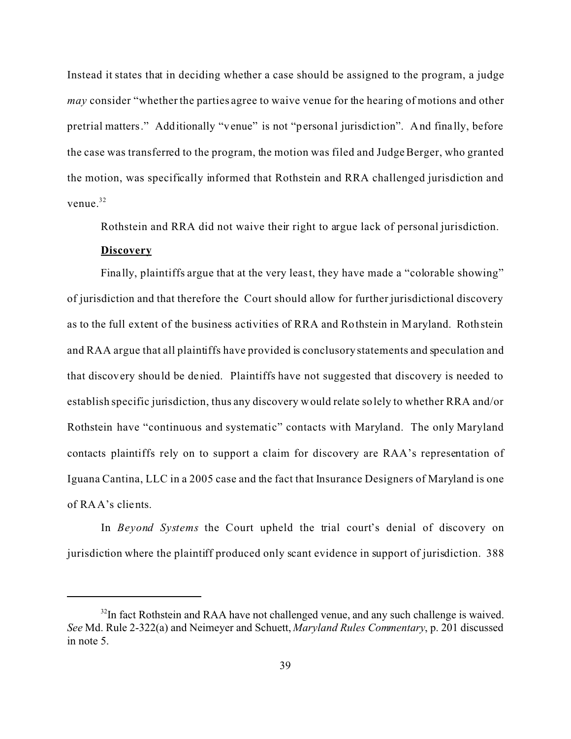Instead it states that in deciding whether a case should be assigned to the program, a judge *may* consider "whether the parties agree to waive venue for the hearing of motions and other pretrial matters." Additionally "venue" is not "personal jurisdiction". And fina lly, before the case was transferred to the program, the motion was filed and Judge Berger, who granted the motion, was specifically informed that Rothstein and RRA challenged jurisdiction and venue.<sup>32</sup>

Rothstein and RRA did not waive their right to argue lack of personal jurisdiction.

### **Discovery**

Finally, plaintiffs argue that at the very least, they have made a "colorable showing" of jurisdiction and that therefore the Court should allow for further jurisdictional discovery as to the full extent of the business activities of RRA and Rothstein in Maryland. Rothstein and RAA argue that all plaintiffs have provided is conclusory statements and speculation and that discovery should be denied. Plaintiffs have not suggested that discovery is needed to establish specific jurisdiction, thus any discovery would relate solely to whether RRA and/or Rothstein have "continuous and systematic" contacts with Maryland. The only Maryland contacts plaintiffs rely on to support a claim for discovery are RAA's representation of Iguana Cantina, LLC in a 2005 case and the fact that Insurance Designers of Maryland is one of RAA's clients.

In *Beyond Systems* the Court upheld the trial court's denial of discovery on jurisdiction where the plaintiff produced only scant evidence in support of jurisdiction. 388

 $32$ In fact Rothstein and RAA have not challenged venue, and any such challenge is waived. *See* Md. Rule 2-322(a) and Neimeyer and Schuett, *Maryland Rules Commentary*, p. 201 discussed in note 5.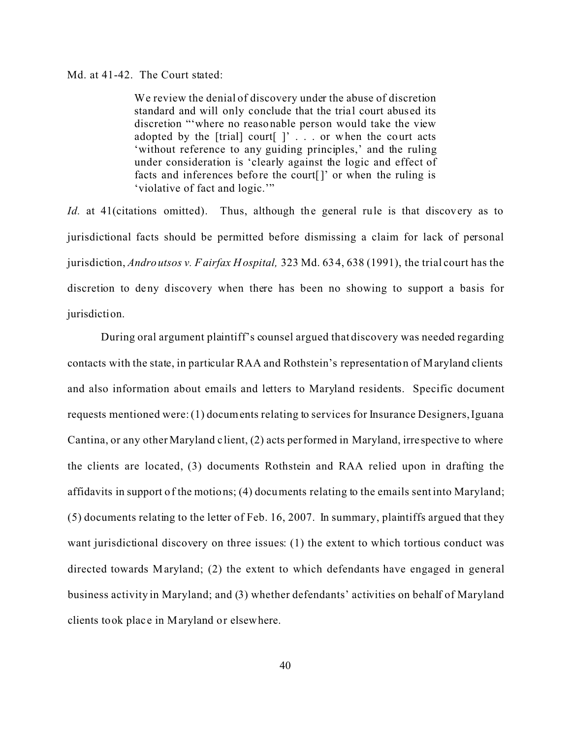### Md. at 41-42. The Court stated:

We review the denial of discovery under the abuse of discretion standard and will only conclude that the trial court abused its discretion "'where no reasonable person would take the view adopted by the  $[trial]$  court $[ ]'$ ... or when the court acts 'without reference to any guiding principles,' and the ruling under consideration is 'clearly against the logic and effect of facts and inferences before the court[]' or when the ruling is 'violative of fact and logic.'"

*Id.* at 41(citations omitted). Thus, although the general rule is that discovery as to jurisdictional facts should be permitted before dismissing a claim for lack of personal jurisdiction, *Androutsos v. Fairfax Hospital,* 323 Md. 634, 638 (1991), the trial court has the discretion to deny discovery when there has been no showing to support a basis for jurisdiction.

During oral argument plaintiff's counsel argued that discovery was needed regarding contacts with the state, in particular RAA and Rothstein's representation of Maryland clients and also information about emails and letters to Maryland residents. Specific document requests mentioned were: (1) documents relating to services for Insurance Designers, Iguana Cantina, or any other Maryland c lient, (2) acts performed in Maryland, irre spective to where the clients are located, (3) documents Rothstein and RAA relied upon in drafting the affidavits in support of the motions; (4) documents relating to the emails sent into Maryland; (5) documents relating to the letter of Feb. 16, 2007. In summary, plaintiffs argued that they want jurisdictional discovery on three issues: (1) the extent to which tortious conduct was directed towards Maryland; (2) the extent to which defendants have engaged in general business activity in Maryland; and (3) whether defendants' activities on behalf of Maryland clients took place in Maryland or elsewhere.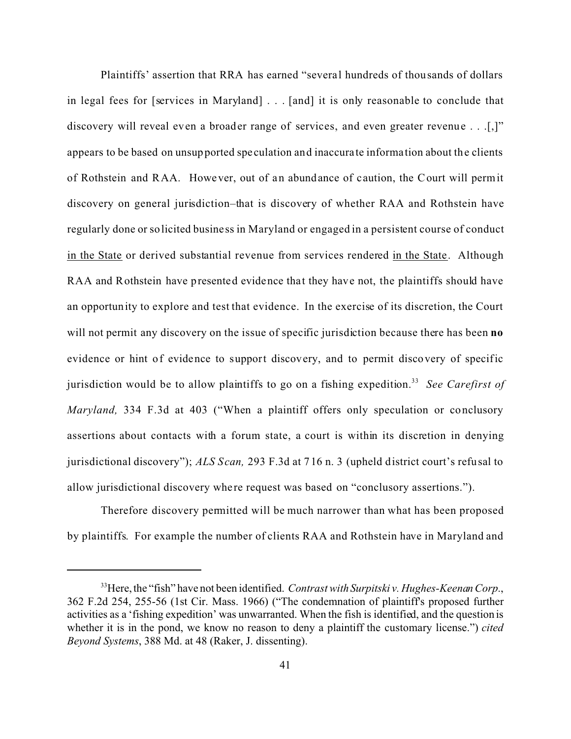Plaintiffs' assertion that RRA has earned "severa l hundreds of thousands of dollars in legal fees for [services in Maryland] . . . [and] it is only reasonable to conclude that discovery will reveal even a broader range of services, and even greater revenue . . . [,]" appears to be based on unsupported spe culation and inaccura te informa tion about the clients of Rothstein and RAA. However, out of an abundance of caution, the Court will permit discovery on general jurisdiction–that is discovery of whether RAA and Rothstein have regularly done or solicited business in Maryland or engaged in a persistent course of conduct in the State or derived substantial revenue from services rendered in the State. Although RAA and Rothstein have presented evidence that they have not, the plaintiffs should have an opportunity to explore and test that evidence. In the exercise of its discretion, the Court will not permit any discovery on the issue of specific jurisdiction because there has been **no** evidence or hint of evidence to support discovery, and to permit discovery of specific jurisdiction would be to allow plaintiffs to go on a fishing expedition.<sup>33</sup> See Carefirst of *Maryland,* 334 F.3d at 403 ("When a plaintiff offers only speculation or conclusory assertions about contacts with a forum state, a court is within its discretion in denying jurisdictional discovery"); *ALS Scan,* 293 F.3d at 716 n. 3 (upheld district court's refusal to allow jurisdictional discovery where request was based on "conclusory assertions.").

Therefore discovery permitted will be much narrower than what has been proposed by plaintiffs. For example the number of clients RAA and Rothstein have in Maryland and

<sup>&</sup>lt;sup>33</sup>Here, the "fish" have not been identified. *Contrast with Surpitski v. Hughes-Keenan Corp.*, 362 F.2d 254, 255-56 (1st Cir. Mass. 1966) ("The condemnation of plaintiff's proposed further activities as a 'fishing expedition' was unwarranted. When the fish is identified, and the question is whether it is in the pond, we know no reason to deny a plaintiff the customary license.") *cited Beyond Systems*, 388 Md. at 48 (Raker, J. dissenting).